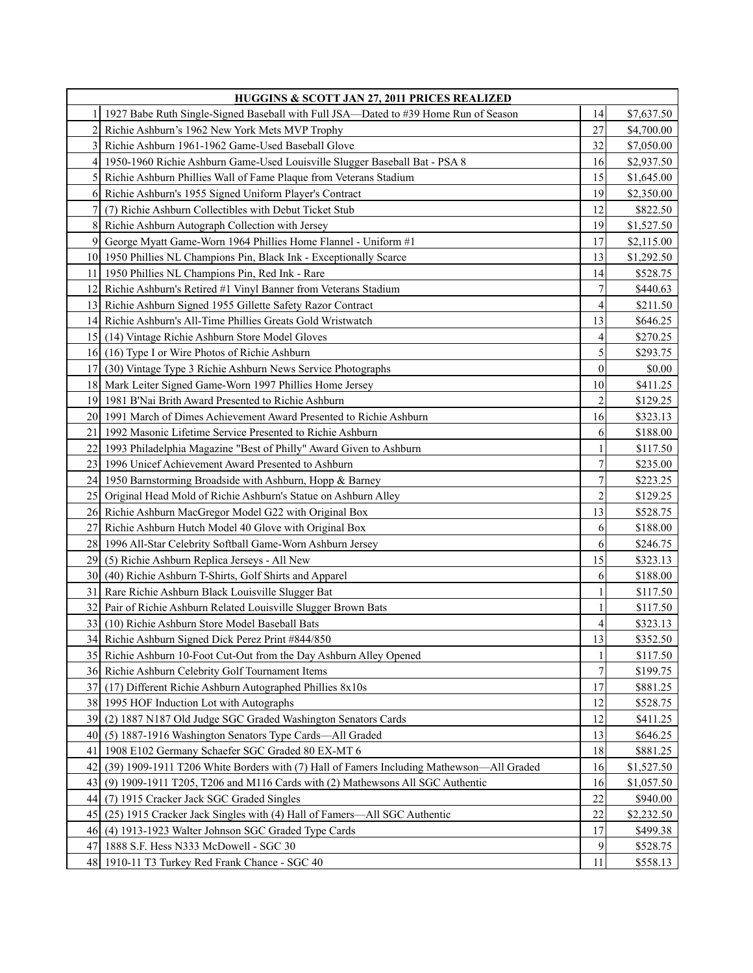| HUGGINS & SCOTT JAN 27, 2011 PRICES REALIZED |                                                                                          |                |            |
|----------------------------------------------|------------------------------------------------------------------------------------------|----------------|------------|
| 1                                            | 1927 Babe Ruth Single-Signed Baseball with Full JSA—Dated to #39 Home Run of Season      | 14             | \$7,637.50 |
| 2                                            | Richie Ashburn's 1962 New York Mets MVP Trophy                                           | 27             | \$4,700.00 |
| 3                                            | Richie Ashburn 1961-1962 Game-Used Baseball Glove                                        | 32             | \$7,050.00 |
| $\vert$                                      | 1950-1960 Richie Ashburn Game-Used Louisville Slugger Baseball Bat - PSA 8               | 16             | \$2,937.50 |
| $\mathcal{F}$                                | Richie Ashburn Phillies Wall of Fame Plaque from Veterans Stadium                        | 15             | \$1,645.00 |
| 6                                            | Richie Ashburn's 1955 Signed Uniform Player's Contract                                   | 19             | \$2,350.00 |
| 7                                            | (7) Richie Ashburn Collectibles with Debut Ticket Stub                                   | 12             | \$822.50   |
| 8                                            | Richie Ashburn Autograph Collection with Jersey                                          | 19             | \$1,527.50 |
| 9                                            | George Myatt Game-Worn 1964 Phillies Home Flannel - Uniform #1                           | 17             | \$2,115.00 |
|                                              | 10 1950 Phillies NL Champions Pin, Black Ink - Exceptionally Scarce                      | 13             | \$1,292.50 |
|                                              | 11 1950 Phillies NL Champions Pin, Red Ink - Rare                                        | 14             | \$528.75   |
| 12 <sup>1</sup>                              | Richie Ashburn's Retired #1 Vinyl Banner from Veterans Stadium                           | 7              | \$440.63   |
| 13                                           | Richie Ashburn Signed 1955 Gillette Safety Razor Contract                                | 4              | \$211.50   |
| 14 <sup>1</sup>                              | Richie Ashburn's All-Time Phillies Greats Gold Wristwatch                                | 13             | \$646.25   |
| 15                                           | (14) Vintage Richie Ashburn Store Model Gloves                                           | 4              | \$270.25   |
| 16                                           | (16) Type I or Wire Photos of Richie Ashburn                                             | 5              | \$293.75   |
| 17 <sup>1</sup>                              | (30) Vintage Type 3 Richie Ashburn News Service Photographs                              | $\theta$       | \$0.00     |
|                                              | 18 Mark Leiter Signed Game-Worn 1997 Phillies Home Jersey                                | 10             | \$411.25   |
| 19                                           | 1981 B'Nai Brith Award Presented to Richie Ashburn                                       | 2              | \$129.25   |
| 20                                           | 1991 March of Dimes Achievement Award Presented to Richie Ashburn                        | 16             | \$323.13   |
| 21                                           | 1992 Masonic Lifetime Service Presented to Richie Ashburn                                | 6              | \$188.00   |
| 22                                           | 1993 Philadelphia Magazine "Best of Philly" Award Given to Ashburn                       |                | \$117.50   |
| 23                                           | 1996 Unicef Achievement Award Presented to Ashburn                                       | $\overline{7}$ | \$235.00   |
| 24 l                                         | 1950 Barnstorming Broadside with Ashburn, Hopp & Barney                                  | 7              | \$223.25   |
| 25                                           | Original Head Mold of Richie Ashburn's Statue on Ashburn Alley                           | $\overline{c}$ | \$129.25   |
| 26                                           | Richie Ashburn MacGregor Model G22 with Original Box                                     | 13             | \$528.75   |
| 27                                           | Richie Ashburn Hutch Model 40 Glove with Original Box                                    | 6              | \$188.00   |
| 28                                           | 1996 All-Star Celebrity Softball Game-Worn Ashburn Jersey                                | 6              | \$246.75   |
| 29                                           | (5) Richie Ashburn Replica Jerseys - All New                                             | 15             | \$323.13   |
| 30 <sup>1</sup>                              | (40) Richie Ashburn T-Shirts, Golf Shirts and Apparel                                    | 6              | \$188.00   |
| 31                                           | Rare Richie Ashburn Black Louisville Slugger Bat                                         |                | \$117.50   |
| 32                                           | Pair of Richie Ashburn Related Louisville Slugger Brown Bats                             |                | \$117.50   |
| 33                                           | (10) Richie Ashburn Store Model Baseball Bats                                            | 4              | \$323.13   |
|                                              | 34 Richie Ashburn Signed Dick Perez Print #844/850                                       | 13             | \$352.50   |
|                                              | 35 Richie Ashburn 10-Foot Cut-Out from the Day Ashburn Alley Opened                      | 1              | \$117.50   |
|                                              | 36 Richie Ashburn Celebrity Golf Tournament Items                                        | $\overline{7}$ | \$199.75   |
| 371                                          | (17) Different Richie Ashburn Autographed Phillies 8x10s                                 | 17             | \$881.25   |
| 38                                           | 1995 HOF Induction Lot with Autographs                                                   | 12             | \$528.75   |
| 39                                           | (2) 1887 N187 Old Judge SGC Graded Washington Senators Cards                             | 12             | \$411.25   |
| 40                                           | (5) 1887-1916 Washington Senators Type Cards-All Graded                                  | 13             | \$646.25   |
| 41                                           | 1908 E102 Germany Schaefer SGC Graded 80 EX-MT 6                                         | 18             | \$881.25   |
| 42                                           | (39) 1909-1911 T206 White Borders with (7) Hall of Famers Including Mathewson-All Graded | 16             | \$1,527.50 |
| 43                                           | $(9)$ 1909-1911 T205, T206 and M116 Cards with $(2)$ Mathewsons All SGC Authentic        | 16             | \$1,057.50 |
| 44                                           | (7) 1915 Cracker Jack SGC Graded Singles                                                 | 22             | \$940.00   |
| 45                                           | (25) 1915 Cracker Jack Singles with (4) Hall of Famers—All SGC Authentic                 | 22             | \$2,232.50 |
| 46                                           | (4) 1913-1923 Walter Johnson SGC Graded Type Cards                                       | 17             | \$499.38   |
| 47                                           | 1888 S.F. Hess N333 McDowell - SGC 30                                                    | 9              | \$528.75   |
| 48                                           | 1910-11 T3 Turkey Red Frank Chance - SGC 40                                              | 11             | \$558.13   |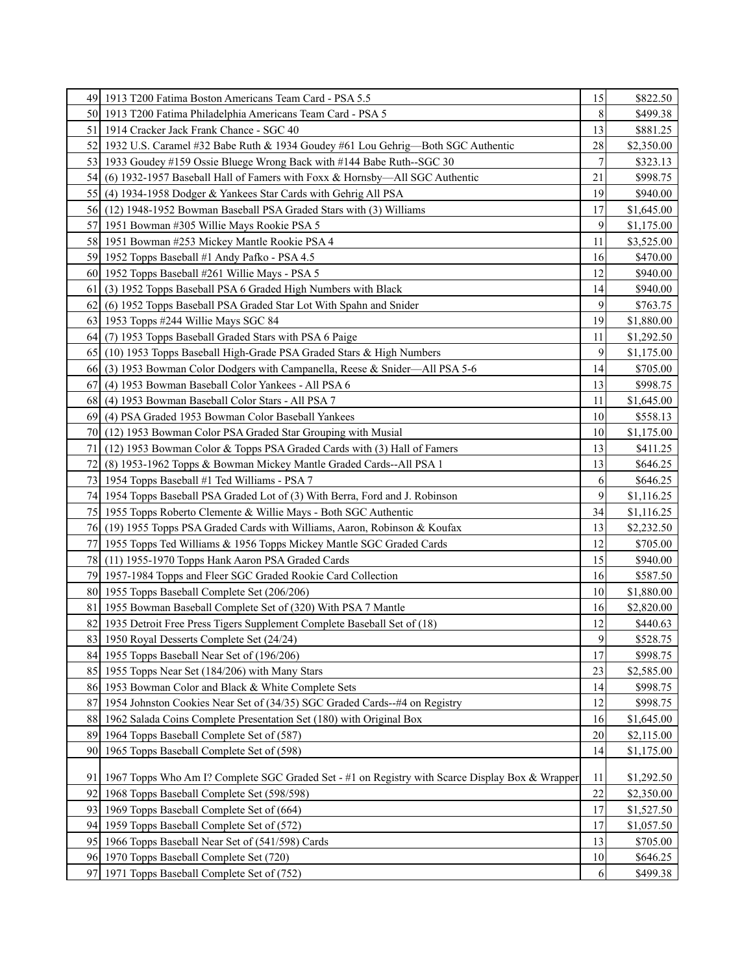| 8<br>50 1913 T200 Fatima Philadelphia Americans Team Card - PSA 5<br>\$499.38<br>13<br>1914 Cracker Jack Frank Chance - SGC 40<br>\$881.25<br>51<br>28<br>52<br>1932 U.S. Caramel #32 Babe Ruth & 1934 Goudey #61 Lou Gehrig—Both SGC Authentic<br>\$2,350.00<br>7<br>53 1933 Goudey #159 Ossie Bluege Wrong Back with #144 Babe Ruth--SGC 30<br>\$323.13<br>21<br>54<br>(6) 1932-1957 Baseball Hall of Famers with Foxx & Hornsby—All SGC Authentic<br>\$998.75<br>19<br>\$940.00<br>(4) 1934-1958 Dodger & Yankees Star Cards with Gehrig All PSA<br>55<br>(12) 1948-1952 Bowman Baseball PSA Graded Stars with (3) Williams<br>17<br>56<br>\$1,645.00<br>9<br>57<br>1951 Bowman #305 Willie Mays Rookie PSA 5<br>\$1,175.00<br>58 1951 Bowman #253 Mickey Mantle Rookie PSA 4<br>11<br>\$3,525.00<br>59 1952 Topps Baseball #1 Andy Pafko - PSA 4.5<br>16<br>\$470.00<br>60 1952 Topps Baseball #261 Willie Mays - PSA 5<br>12<br>\$940.00<br>(3) 1952 Topps Baseball PSA 6 Graded High Numbers with Black<br>14<br>\$940.00<br>61<br>9<br>(6) 1952 Topps Baseball PSA Graded Star Lot With Spahn and Snider<br>62<br>\$763.75<br>19<br>1953 Topps #244 Willie Mays SGC 84<br>\$1,880.00<br>63<br>(7) 1953 Topps Baseball Graded Stars with PSA 6 Paige<br>11<br>64<br>\$1,292.50<br>9<br>65<br>(10) 1953 Topps Baseball High-Grade PSA Graded Stars & High Numbers<br>\$1,175.00<br>14<br>(3) 1953 Bowman Color Dodgers with Campanella, Reese & Snider—All PSA 5-6<br>\$705.00<br>66<br>(4) 1953 Bowman Baseball Color Yankees - All PSA 6<br>13<br>\$998.75<br>67<br>(4) 1953 Bowman Baseball Color Stars - All PSA 7<br>68<br>11<br>\$1,645.00<br>(4) PSA Graded 1953 Bowman Color Baseball Yankees<br>10<br>\$558.13<br>69<br>(12) 1953 Bowman Color PSA Graded Star Grouping with Musial<br>10<br>70<br>\$1,175.00<br>13<br>71<br>(12) 1953 Bowman Color & Topps PSA Graded Cards with (3) Hall of Famers<br>\$411.25<br>13<br>721<br>(8) 1953-1962 Topps & Bowman Mickey Mantle Graded Cards--All PSA 1<br>\$646.25<br>73 I<br>1954 Topps Baseball #1 Ted Williams - PSA 7<br>6<br>\$646.25<br>9<br>74   1954 Topps Baseball PSA Graded Lot of (3) With Berra, Ford and J. Robinson<br>\$1,116.25<br>1955 Topps Roberto Clemente & Willie Mays - Both SGC Authentic<br>34<br>75 I<br>\$1,116.25<br>13<br>(19) 1955 Topps PSA Graded Cards with Williams, Aaron, Robinson & Koufax<br>\$2,232.50<br>76<br>12<br>1955 Topps Ted Williams & 1956 Topps Mickey Mantle SGC Graded Cards<br>77 I<br>\$705.00<br>15<br>78 (11) 1955-1970 Topps Hank Aaron PSA Graded Cards<br>\$940.00<br>79 1957-1984 Topps and Fleer SGC Graded Rookie Card Collection<br>16<br>\$587.50<br>1955 Topps Baseball Complete Set (206/206)<br>10<br>80I<br>\$1,880.00<br>81<br>1955 Bowman Baseball Complete Set of (320) With PSA 7 Mantle<br>16<br>\$2,820.00<br>12<br>82<br>1935 Detroit Free Press Tigers Supplement Complete Baseball Set of (18)<br>\$440.63<br>9<br>83<br>\$528.75<br>1950 Royal Desserts Complete Set (24/24)<br>17<br>84 1955 Topps Baseball Near Set of (196/206)<br>\$998.75<br>85 1955 Topps Near Set (184/206) with Many Stars<br>23<br>\$2,585.00<br>1953 Bowman Color and Black & White Complete Sets<br>14<br>86<br>\$998.75<br>1954 Johnston Cookies Near Set of (34/35) SGC Graded Cards--#4 on Registry<br>87<br>12<br>\$998.75<br>1962 Salada Coins Complete Presentation Set (180) with Original Box<br>16<br>88<br>\$1,645.00<br>89<br>1964 Topps Baseball Complete Set of (587)<br>20<br>\$2,115.00<br>1965 Topps Baseball Complete Set of (598)<br>14<br>90<br>\$1,175.00<br>1967 Topps Who Am I? Complete SGC Graded Set - #1 on Registry with Scarce Display Box & Wrapper<br>11<br>91<br>\$1,292.50<br>22<br>92<br>1968 Topps Baseball Complete Set (598/598)<br>\$2,350.00<br>17<br>93<br>1969 Topps Baseball Complete Set of (664)<br>\$1,527.50<br>1959 Topps Baseball Complete Set of (572)<br>17<br>941<br>\$1,057.50<br>1966 Topps Baseball Near Set of (541/598) Cards<br>13<br>95<br>\$705.00<br>1970 Topps Baseball Complete Set (720)<br>10<br>96<br>\$646.25<br>97<br>1971 Topps Baseball Complete Set of (752)<br>6<br>\$499.38 | 49 1913 T200 Fatima Boston Americans Team Card - PSA 5.5 | 15 | \$822.50 |
|-------------------------------------------------------------------------------------------------------------------------------------------------------------------------------------------------------------------------------------------------------------------------------------------------------------------------------------------------------------------------------------------------------------------------------------------------------------------------------------------------------------------------------------------------------------------------------------------------------------------------------------------------------------------------------------------------------------------------------------------------------------------------------------------------------------------------------------------------------------------------------------------------------------------------------------------------------------------------------------------------------------------------------------------------------------------------------------------------------------------------------------------------------------------------------------------------------------------------------------------------------------------------------------------------------------------------------------------------------------------------------------------------------------------------------------------------------------------------------------------------------------------------------------------------------------------------------------------------------------------------------------------------------------------------------------------------------------------------------------------------------------------------------------------------------------------------------------------------------------------------------------------------------------------------------------------------------------------------------------------------------------------------------------------------------------------------------------------------------------------------------------------------------------------------------------------------------------------------------------------------------------------------------------------------------------------------------------------------------------------------------------------------------------------------------------------------------------------------------------------------------------------------------------------------------------------------------------------------------------------------------------------------------------------------------------------------------------------------------------------------------------------------------------------------------------------------------------------------------------------------------------------------------------------------------------------------------------------------------------------------------------------------------------------------------------------------------------------------------------------------------------------------------------------------------------------------------------------------------------------------------------------------------------------------------------------------------------------------------------------------------------------------------------------------------------------------------------------------------------------------------------------------------------------------------------------------------------------------------------------------------------------------------------------------------------------------------------------------------------------------------------------------------------------------------------------------------------------------------------------------------------------------------------------------------------------------------------------------------------------------------------------------------------------------------------------------------------------------------------------------------------------------------------------------|----------------------------------------------------------|----|----------|
|                                                                                                                                                                                                                                                                                                                                                                                                                                                                                                                                                                                                                                                                                                                                                                                                                                                                                                                                                                                                                                                                                                                                                                                                                                                                                                                                                                                                                                                                                                                                                                                                                                                                                                                                                                                                                                                                                                                                                                                                                                                                                                                                                                                                                                                                                                                                                                                                                                                                                                                                                                                                                                                                                                                                                                                                                                                                                                                                                                                                                                                                                                                                                                                                                                                                                                                                                                                                                                                                                                                                                                                                                                                                                                                                                                                                                                                                                                                                                                                                                                                                                                                                                                         |                                                          |    |          |
|                                                                                                                                                                                                                                                                                                                                                                                                                                                                                                                                                                                                                                                                                                                                                                                                                                                                                                                                                                                                                                                                                                                                                                                                                                                                                                                                                                                                                                                                                                                                                                                                                                                                                                                                                                                                                                                                                                                                                                                                                                                                                                                                                                                                                                                                                                                                                                                                                                                                                                                                                                                                                                                                                                                                                                                                                                                                                                                                                                                                                                                                                                                                                                                                                                                                                                                                                                                                                                                                                                                                                                                                                                                                                                                                                                                                                                                                                                                                                                                                                                                                                                                                                                         |                                                          |    |          |
|                                                                                                                                                                                                                                                                                                                                                                                                                                                                                                                                                                                                                                                                                                                                                                                                                                                                                                                                                                                                                                                                                                                                                                                                                                                                                                                                                                                                                                                                                                                                                                                                                                                                                                                                                                                                                                                                                                                                                                                                                                                                                                                                                                                                                                                                                                                                                                                                                                                                                                                                                                                                                                                                                                                                                                                                                                                                                                                                                                                                                                                                                                                                                                                                                                                                                                                                                                                                                                                                                                                                                                                                                                                                                                                                                                                                                                                                                                                                                                                                                                                                                                                                                                         |                                                          |    |          |
|                                                                                                                                                                                                                                                                                                                                                                                                                                                                                                                                                                                                                                                                                                                                                                                                                                                                                                                                                                                                                                                                                                                                                                                                                                                                                                                                                                                                                                                                                                                                                                                                                                                                                                                                                                                                                                                                                                                                                                                                                                                                                                                                                                                                                                                                                                                                                                                                                                                                                                                                                                                                                                                                                                                                                                                                                                                                                                                                                                                                                                                                                                                                                                                                                                                                                                                                                                                                                                                                                                                                                                                                                                                                                                                                                                                                                                                                                                                                                                                                                                                                                                                                                                         |                                                          |    |          |
|                                                                                                                                                                                                                                                                                                                                                                                                                                                                                                                                                                                                                                                                                                                                                                                                                                                                                                                                                                                                                                                                                                                                                                                                                                                                                                                                                                                                                                                                                                                                                                                                                                                                                                                                                                                                                                                                                                                                                                                                                                                                                                                                                                                                                                                                                                                                                                                                                                                                                                                                                                                                                                                                                                                                                                                                                                                                                                                                                                                                                                                                                                                                                                                                                                                                                                                                                                                                                                                                                                                                                                                                                                                                                                                                                                                                                                                                                                                                                                                                                                                                                                                                                                         |                                                          |    |          |
|                                                                                                                                                                                                                                                                                                                                                                                                                                                                                                                                                                                                                                                                                                                                                                                                                                                                                                                                                                                                                                                                                                                                                                                                                                                                                                                                                                                                                                                                                                                                                                                                                                                                                                                                                                                                                                                                                                                                                                                                                                                                                                                                                                                                                                                                                                                                                                                                                                                                                                                                                                                                                                                                                                                                                                                                                                                                                                                                                                                                                                                                                                                                                                                                                                                                                                                                                                                                                                                                                                                                                                                                                                                                                                                                                                                                                                                                                                                                                                                                                                                                                                                                                                         |                                                          |    |          |
|                                                                                                                                                                                                                                                                                                                                                                                                                                                                                                                                                                                                                                                                                                                                                                                                                                                                                                                                                                                                                                                                                                                                                                                                                                                                                                                                                                                                                                                                                                                                                                                                                                                                                                                                                                                                                                                                                                                                                                                                                                                                                                                                                                                                                                                                                                                                                                                                                                                                                                                                                                                                                                                                                                                                                                                                                                                                                                                                                                                                                                                                                                                                                                                                                                                                                                                                                                                                                                                                                                                                                                                                                                                                                                                                                                                                                                                                                                                                                                                                                                                                                                                                                                         |                                                          |    |          |
|                                                                                                                                                                                                                                                                                                                                                                                                                                                                                                                                                                                                                                                                                                                                                                                                                                                                                                                                                                                                                                                                                                                                                                                                                                                                                                                                                                                                                                                                                                                                                                                                                                                                                                                                                                                                                                                                                                                                                                                                                                                                                                                                                                                                                                                                                                                                                                                                                                                                                                                                                                                                                                                                                                                                                                                                                                                                                                                                                                                                                                                                                                                                                                                                                                                                                                                                                                                                                                                                                                                                                                                                                                                                                                                                                                                                                                                                                                                                                                                                                                                                                                                                                                         |                                                          |    |          |
|                                                                                                                                                                                                                                                                                                                                                                                                                                                                                                                                                                                                                                                                                                                                                                                                                                                                                                                                                                                                                                                                                                                                                                                                                                                                                                                                                                                                                                                                                                                                                                                                                                                                                                                                                                                                                                                                                                                                                                                                                                                                                                                                                                                                                                                                                                                                                                                                                                                                                                                                                                                                                                                                                                                                                                                                                                                                                                                                                                                                                                                                                                                                                                                                                                                                                                                                                                                                                                                                                                                                                                                                                                                                                                                                                                                                                                                                                                                                                                                                                                                                                                                                                                         |                                                          |    |          |
|                                                                                                                                                                                                                                                                                                                                                                                                                                                                                                                                                                                                                                                                                                                                                                                                                                                                                                                                                                                                                                                                                                                                                                                                                                                                                                                                                                                                                                                                                                                                                                                                                                                                                                                                                                                                                                                                                                                                                                                                                                                                                                                                                                                                                                                                                                                                                                                                                                                                                                                                                                                                                                                                                                                                                                                                                                                                                                                                                                                                                                                                                                                                                                                                                                                                                                                                                                                                                                                                                                                                                                                                                                                                                                                                                                                                                                                                                                                                                                                                                                                                                                                                                                         |                                                          |    |          |
|                                                                                                                                                                                                                                                                                                                                                                                                                                                                                                                                                                                                                                                                                                                                                                                                                                                                                                                                                                                                                                                                                                                                                                                                                                                                                                                                                                                                                                                                                                                                                                                                                                                                                                                                                                                                                                                                                                                                                                                                                                                                                                                                                                                                                                                                                                                                                                                                                                                                                                                                                                                                                                                                                                                                                                                                                                                                                                                                                                                                                                                                                                                                                                                                                                                                                                                                                                                                                                                                                                                                                                                                                                                                                                                                                                                                                                                                                                                                                                                                                                                                                                                                                                         |                                                          |    |          |
|                                                                                                                                                                                                                                                                                                                                                                                                                                                                                                                                                                                                                                                                                                                                                                                                                                                                                                                                                                                                                                                                                                                                                                                                                                                                                                                                                                                                                                                                                                                                                                                                                                                                                                                                                                                                                                                                                                                                                                                                                                                                                                                                                                                                                                                                                                                                                                                                                                                                                                                                                                                                                                                                                                                                                                                                                                                                                                                                                                                                                                                                                                                                                                                                                                                                                                                                                                                                                                                                                                                                                                                                                                                                                                                                                                                                                                                                                                                                                                                                                                                                                                                                                                         |                                                          |    |          |
|                                                                                                                                                                                                                                                                                                                                                                                                                                                                                                                                                                                                                                                                                                                                                                                                                                                                                                                                                                                                                                                                                                                                                                                                                                                                                                                                                                                                                                                                                                                                                                                                                                                                                                                                                                                                                                                                                                                                                                                                                                                                                                                                                                                                                                                                                                                                                                                                                                                                                                                                                                                                                                                                                                                                                                                                                                                                                                                                                                                                                                                                                                                                                                                                                                                                                                                                                                                                                                                                                                                                                                                                                                                                                                                                                                                                                                                                                                                                                                                                                                                                                                                                                                         |                                                          |    |          |
|                                                                                                                                                                                                                                                                                                                                                                                                                                                                                                                                                                                                                                                                                                                                                                                                                                                                                                                                                                                                                                                                                                                                                                                                                                                                                                                                                                                                                                                                                                                                                                                                                                                                                                                                                                                                                                                                                                                                                                                                                                                                                                                                                                                                                                                                                                                                                                                                                                                                                                                                                                                                                                                                                                                                                                                                                                                                                                                                                                                                                                                                                                                                                                                                                                                                                                                                                                                                                                                                                                                                                                                                                                                                                                                                                                                                                                                                                                                                                                                                                                                                                                                                                                         |                                                          |    |          |
|                                                                                                                                                                                                                                                                                                                                                                                                                                                                                                                                                                                                                                                                                                                                                                                                                                                                                                                                                                                                                                                                                                                                                                                                                                                                                                                                                                                                                                                                                                                                                                                                                                                                                                                                                                                                                                                                                                                                                                                                                                                                                                                                                                                                                                                                                                                                                                                                                                                                                                                                                                                                                                                                                                                                                                                                                                                                                                                                                                                                                                                                                                                                                                                                                                                                                                                                                                                                                                                                                                                                                                                                                                                                                                                                                                                                                                                                                                                                                                                                                                                                                                                                                                         |                                                          |    |          |
|                                                                                                                                                                                                                                                                                                                                                                                                                                                                                                                                                                                                                                                                                                                                                                                                                                                                                                                                                                                                                                                                                                                                                                                                                                                                                                                                                                                                                                                                                                                                                                                                                                                                                                                                                                                                                                                                                                                                                                                                                                                                                                                                                                                                                                                                                                                                                                                                                                                                                                                                                                                                                                                                                                                                                                                                                                                                                                                                                                                                                                                                                                                                                                                                                                                                                                                                                                                                                                                                                                                                                                                                                                                                                                                                                                                                                                                                                                                                                                                                                                                                                                                                                                         |                                                          |    |          |
|                                                                                                                                                                                                                                                                                                                                                                                                                                                                                                                                                                                                                                                                                                                                                                                                                                                                                                                                                                                                                                                                                                                                                                                                                                                                                                                                                                                                                                                                                                                                                                                                                                                                                                                                                                                                                                                                                                                                                                                                                                                                                                                                                                                                                                                                                                                                                                                                                                                                                                                                                                                                                                                                                                                                                                                                                                                                                                                                                                                                                                                                                                                                                                                                                                                                                                                                                                                                                                                                                                                                                                                                                                                                                                                                                                                                                                                                                                                                                                                                                                                                                                                                                                         |                                                          |    |          |
|                                                                                                                                                                                                                                                                                                                                                                                                                                                                                                                                                                                                                                                                                                                                                                                                                                                                                                                                                                                                                                                                                                                                                                                                                                                                                                                                                                                                                                                                                                                                                                                                                                                                                                                                                                                                                                                                                                                                                                                                                                                                                                                                                                                                                                                                                                                                                                                                                                                                                                                                                                                                                                                                                                                                                                                                                                                                                                                                                                                                                                                                                                                                                                                                                                                                                                                                                                                                                                                                                                                                                                                                                                                                                                                                                                                                                                                                                                                                                                                                                                                                                                                                                                         |                                                          |    |          |
|                                                                                                                                                                                                                                                                                                                                                                                                                                                                                                                                                                                                                                                                                                                                                                                                                                                                                                                                                                                                                                                                                                                                                                                                                                                                                                                                                                                                                                                                                                                                                                                                                                                                                                                                                                                                                                                                                                                                                                                                                                                                                                                                                                                                                                                                                                                                                                                                                                                                                                                                                                                                                                                                                                                                                                                                                                                                                                                                                                                                                                                                                                                                                                                                                                                                                                                                                                                                                                                                                                                                                                                                                                                                                                                                                                                                                                                                                                                                                                                                                                                                                                                                                                         |                                                          |    |          |
|                                                                                                                                                                                                                                                                                                                                                                                                                                                                                                                                                                                                                                                                                                                                                                                                                                                                                                                                                                                                                                                                                                                                                                                                                                                                                                                                                                                                                                                                                                                                                                                                                                                                                                                                                                                                                                                                                                                                                                                                                                                                                                                                                                                                                                                                                                                                                                                                                                                                                                                                                                                                                                                                                                                                                                                                                                                                                                                                                                                                                                                                                                                                                                                                                                                                                                                                                                                                                                                                                                                                                                                                                                                                                                                                                                                                                                                                                                                                                                                                                                                                                                                                                                         |                                                          |    |          |
|                                                                                                                                                                                                                                                                                                                                                                                                                                                                                                                                                                                                                                                                                                                                                                                                                                                                                                                                                                                                                                                                                                                                                                                                                                                                                                                                                                                                                                                                                                                                                                                                                                                                                                                                                                                                                                                                                                                                                                                                                                                                                                                                                                                                                                                                                                                                                                                                                                                                                                                                                                                                                                                                                                                                                                                                                                                                                                                                                                                                                                                                                                                                                                                                                                                                                                                                                                                                                                                                                                                                                                                                                                                                                                                                                                                                                                                                                                                                                                                                                                                                                                                                                                         |                                                          |    |          |
|                                                                                                                                                                                                                                                                                                                                                                                                                                                                                                                                                                                                                                                                                                                                                                                                                                                                                                                                                                                                                                                                                                                                                                                                                                                                                                                                                                                                                                                                                                                                                                                                                                                                                                                                                                                                                                                                                                                                                                                                                                                                                                                                                                                                                                                                                                                                                                                                                                                                                                                                                                                                                                                                                                                                                                                                                                                                                                                                                                                                                                                                                                                                                                                                                                                                                                                                                                                                                                                                                                                                                                                                                                                                                                                                                                                                                                                                                                                                                                                                                                                                                                                                                                         |                                                          |    |          |
|                                                                                                                                                                                                                                                                                                                                                                                                                                                                                                                                                                                                                                                                                                                                                                                                                                                                                                                                                                                                                                                                                                                                                                                                                                                                                                                                                                                                                                                                                                                                                                                                                                                                                                                                                                                                                                                                                                                                                                                                                                                                                                                                                                                                                                                                                                                                                                                                                                                                                                                                                                                                                                                                                                                                                                                                                                                                                                                                                                                                                                                                                                                                                                                                                                                                                                                                                                                                                                                                                                                                                                                                                                                                                                                                                                                                                                                                                                                                                                                                                                                                                                                                                                         |                                                          |    |          |
|                                                                                                                                                                                                                                                                                                                                                                                                                                                                                                                                                                                                                                                                                                                                                                                                                                                                                                                                                                                                                                                                                                                                                                                                                                                                                                                                                                                                                                                                                                                                                                                                                                                                                                                                                                                                                                                                                                                                                                                                                                                                                                                                                                                                                                                                                                                                                                                                                                                                                                                                                                                                                                                                                                                                                                                                                                                                                                                                                                                                                                                                                                                                                                                                                                                                                                                                                                                                                                                                                                                                                                                                                                                                                                                                                                                                                                                                                                                                                                                                                                                                                                                                                                         |                                                          |    |          |
|                                                                                                                                                                                                                                                                                                                                                                                                                                                                                                                                                                                                                                                                                                                                                                                                                                                                                                                                                                                                                                                                                                                                                                                                                                                                                                                                                                                                                                                                                                                                                                                                                                                                                                                                                                                                                                                                                                                                                                                                                                                                                                                                                                                                                                                                                                                                                                                                                                                                                                                                                                                                                                                                                                                                                                                                                                                                                                                                                                                                                                                                                                                                                                                                                                                                                                                                                                                                                                                                                                                                                                                                                                                                                                                                                                                                                                                                                                                                                                                                                                                                                                                                                                         |                                                          |    |          |
|                                                                                                                                                                                                                                                                                                                                                                                                                                                                                                                                                                                                                                                                                                                                                                                                                                                                                                                                                                                                                                                                                                                                                                                                                                                                                                                                                                                                                                                                                                                                                                                                                                                                                                                                                                                                                                                                                                                                                                                                                                                                                                                                                                                                                                                                                                                                                                                                                                                                                                                                                                                                                                                                                                                                                                                                                                                                                                                                                                                                                                                                                                                                                                                                                                                                                                                                                                                                                                                                                                                                                                                                                                                                                                                                                                                                                                                                                                                                                                                                                                                                                                                                                                         |                                                          |    |          |
|                                                                                                                                                                                                                                                                                                                                                                                                                                                                                                                                                                                                                                                                                                                                                                                                                                                                                                                                                                                                                                                                                                                                                                                                                                                                                                                                                                                                                                                                                                                                                                                                                                                                                                                                                                                                                                                                                                                                                                                                                                                                                                                                                                                                                                                                                                                                                                                                                                                                                                                                                                                                                                                                                                                                                                                                                                                                                                                                                                                                                                                                                                                                                                                                                                                                                                                                                                                                                                                                                                                                                                                                                                                                                                                                                                                                                                                                                                                                                                                                                                                                                                                                                                         |                                                          |    |          |
|                                                                                                                                                                                                                                                                                                                                                                                                                                                                                                                                                                                                                                                                                                                                                                                                                                                                                                                                                                                                                                                                                                                                                                                                                                                                                                                                                                                                                                                                                                                                                                                                                                                                                                                                                                                                                                                                                                                                                                                                                                                                                                                                                                                                                                                                                                                                                                                                                                                                                                                                                                                                                                                                                                                                                                                                                                                                                                                                                                                                                                                                                                                                                                                                                                                                                                                                                                                                                                                                                                                                                                                                                                                                                                                                                                                                                                                                                                                                                                                                                                                                                                                                                                         |                                                          |    |          |
|                                                                                                                                                                                                                                                                                                                                                                                                                                                                                                                                                                                                                                                                                                                                                                                                                                                                                                                                                                                                                                                                                                                                                                                                                                                                                                                                                                                                                                                                                                                                                                                                                                                                                                                                                                                                                                                                                                                                                                                                                                                                                                                                                                                                                                                                                                                                                                                                                                                                                                                                                                                                                                                                                                                                                                                                                                                                                                                                                                                                                                                                                                                                                                                                                                                                                                                                                                                                                                                                                                                                                                                                                                                                                                                                                                                                                                                                                                                                                                                                                                                                                                                                                                         |                                                          |    |          |
|                                                                                                                                                                                                                                                                                                                                                                                                                                                                                                                                                                                                                                                                                                                                                                                                                                                                                                                                                                                                                                                                                                                                                                                                                                                                                                                                                                                                                                                                                                                                                                                                                                                                                                                                                                                                                                                                                                                                                                                                                                                                                                                                                                                                                                                                                                                                                                                                                                                                                                                                                                                                                                                                                                                                                                                                                                                                                                                                                                                                                                                                                                                                                                                                                                                                                                                                                                                                                                                                                                                                                                                                                                                                                                                                                                                                                                                                                                                                                                                                                                                                                                                                                                         |                                                          |    |          |
|                                                                                                                                                                                                                                                                                                                                                                                                                                                                                                                                                                                                                                                                                                                                                                                                                                                                                                                                                                                                                                                                                                                                                                                                                                                                                                                                                                                                                                                                                                                                                                                                                                                                                                                                                                                                                                                                                                                                                                                                                                                                                                                                                                                                                                                                                                                                                                                                                                                                                                                                                                                                                                                                                                                                                                                                                                                                                                                                                                                                                                                                                                                                                                                                                                                                                                                                                                                                                                                                                                                                                                                                                                                                                                                                                                                                                                                                                                                                                                                                                                                                                                                                                                         |                                                          |    |          |
|                                                                                                                                                                                                                                                                                                                                                                                                                                                                                                                                                                                                                                                                                                                                                                                                                                                                                                                                                                                                                                                                                                                                                                                                                                                                                                                                                                                                                                                                                                                                                                                                                                                                                                                                                                                                                                                                                                                                                                                                                                                                                                                                                                                                                                                                                                                                                                                                                                                                                                                                                                                                                                                                                                                                                                                                                                                                                                                                                                                                                                                                                                                                                                                                                                                                                                                                                                                                                                                                                                                                                                                                                                                                                                                                                                                                                                                                                                                                                                                                                                                                                                                                                                         |                                                          |    |          |
|                                                                                                                                                                                                                                                                                                                                                                                                                                                                                                                                                                                                                                                                                                                                                                                                                                                                                                                                                                                                                                                                                                                                                                                                                                                                                                                                                                                                                                                                                                                                                                                                                                                                                                                                                                                                                                                                                                                                                                                                                                                                                                                                                                                                                                                                                                                                                                                                                                                                                                                                                                                                                                                                                                                                                                                                                                                                                                                                                                                                                                                                                                                                                                                                                                                                                                                                                                                                                                                                                                                                                                                                                                                                                                                                                                                                                                                                                                                                                                                                                                                                                                                                                                         |                                                          |    |          |
|                                                                                                                                                                                                                                                                                                                                                                                                                                                                                                                                                                                                                                                                                                                                                                                                                                                                                                                                                                                                                                                                                                                                                                                                                                                                                                                                                                                                                                                                                                                                                                                                                                                                                                                                                                                                                                                                                                                                                                                                                                                                                                                                                                                                                                                                                                                                                                                                                                                                                                                                                                                                                                                                                                                                                                                                                                                                                                                                                                                                                                                                                                                                                                                                                                                                                                                                                                                                                                                                                                                                                                                                                                                                                                                                                                                                                                                                                                                                                                                                                                                                                                                                                                         |                                                          |    |          |
|                                                                                                                                                                                                                                                                                                                                                                                                                                                                                                                                                                                                                                                                                                                                                                                                                                                                                                                                                                                                                                                                                                                                                                                                                                                                                                                                                                                                                                                                                                                                                                                                                                                                                                                                                                                                                                                                                                                                                                                                                                                                                                                                                                                                                                                                                                                                                                                                                                                                                                                                                                                                                                                                                                                                                                                                                                                                                                                                                                                                                                                                                                                                                                                                                                                                                                                                                                                                                                                                                                                                                                                                                                                                                                                                                                                                                                                                                                                                                                                                                                                                                                                                                                         |                                                          |    |          |
|                                                                                                                                                                                                                                                                                                                                                                                                                                                                                                                                                                                                                                                                                                                                                                                                                                                                                                                                                                                                                                                                                                                                                                                                                                                                                                                                                                                                                                                                                                                                                                                                                                                                                                                                                                                                                                                                                                                                                                                                                                                                                                                                                                                                                                                                                                                                                                                                                                                                                                                                                                                                                                                                                                                                                                                                                                                                                                                                                                                                                                                                                                                                                                                                                                                                                                                                                                                                                                                                                                                                                                                                                                                                                                                                                                                                                                                                                                                                                                                                                                                                                                                                                                         |                                                          |    |          |
|                                                                                                                                                                                                                                                                                                                                                                                                                                                                                                                                                                                                                                                                                                                                                                                                                                                                                                                                                                                                                                                                                                                                                                                                                                                                                                                                                                                                                                                                                                                                                                                                                                                                                                                                                                                                                                                                                                                                                                                                                                                                                                                                                                                                                                                                                                                                                                                                                                                                                                                                                                                                                                                                                                                                                                                                                                                                                                                                                                                                                                                                                                                                                                                                                                                                                                                                                                                                                                                                                                                                                                                                                                                                                                                                                                                                                                                                                                                                                                                                                                                                                                                                                                         |                                                          |    |          |
|                                                                                                                                                                                                                                                                                                                                                                                                                                                                                                                                                                                                                                                                                                                                                                                                                                                                                                                                                                                                                                                                                                                                                                                                                                                                                                                                                                                                                                                                                                                                                                                                                                                                                                                                                                                                                                                                                                                                                                                                                                                                                                                                                                                                                                                                                                                                                                                                                                                                                                                                                                                                                                                                                                                                                                                                                                                                                                                                                                                                                                                                                                                                                                                                                                                                                                                                                                                                                                                                                                                                                                                                                                                                                                                                                                                                                                                                                                                                                                                                                                                                                                                                                                         |                                                          |    |          |
|                                                                                                                                                                                                                                                                                                                                                                                                                                                                                                                                                                                                                                                                                                                                                                                                                                                                                                                                                                                                                                                                                                                                                                                                                                                                                                                                                                                                                                                                                                                                                                                                                                                                                                                                                                                                                                                                                                                                                                                                                                                                                                                                                                                                                                                                                                                                                                                                                                                                                                                                                                                                                                                                                                                                                                                                                                                                                                                                                                                                                                                                                                                                                                                                                                                                                                                                                                                                                                                                                                                                                                                                                                                                                                                                                                                                                                                                                                                                                                                                                                                                                                                                                                         |                                                          |    |          |
|                                                                                                                                                                                                                                                                                                                                                                                                                                                                                                                                                                                                                                                                                                                                                                                                                                                                                                                                                                                                                                                                                                                                                                                                                                                                                                                                                                                                                                                                                                                                                                                                                                                                                                                                                                                                                                                                                                                                                                                                                                                                                                                                                                                                                                                                                                                                                                                                                                                                                                                                                                                                                                                                                                                                                                                                                                                                                                                                                                                                                                                                                                                                                                                                                                                                                                                                                                                                                                                                                                                                                                                                                                                                                                                                                                                                                                                                                                                                                                                                                                                                                                                                                                         |                                                          |    |          |
|                                                                                                                                                                                                                                                                                                                                                                                                                                                                                                                                                                                                                                                                                                                                                                                                                                                                                                                                                                                                                                                                                                                                                                                                                                                                                                                                                                                                                                                                                                                                                                                                                                                                                                                                                                                                                                                                                                                                                                                                                                                                                                                                                                                                                                                                                                                                                                                                                                                                                                                                                                                                                                                                                                                                                                                                                                                                                                                                                                                                                                                                                                                                                                                                                                                                                                                                                                                                                                                                                                                                                                                                                                                                                                                                                                                                                                                                                                                                                                                                                                                                                                                                                                         |                                                          |    |          |
|                                                                                                                                                                                                                                                                                                                                                                                                                                                                                                                                                                                                                                                                                                                                                                                                                                                                                                                                                                                                                                                                                                                                                                                                                                                                                                                                                                                                                                                                                                                                                                                                                                                                                                                                                                                                                                                                                                                                                                                                                                                                                                                                                                                                                                                                                                                                                                                                                                                                                                                                                                                                                                                                                                                                                                                                                                                                                                                                                                                                                                                                                                                                                                                                                                                                                                                                                                                                                                                                                                                                                                                                                                                                                                                                                                                                                                                                                                                                                                                                                                                                                                                                                                         |                                                          |    |          |
|                                                                                                                                                                                                                                                                                                                                                                                                                                                                                                                                                                                                                                                                                                                                                                                                                                                                                                                                                                                                                                                                                                                                                                                                                                                                                                                                                                                                                                                                                                                                                                                                                                                                                                                                                                                                                                                                                                                                                                                                                                                                                                                                                                                                                                                                                                                                                                                                                                                                                                                                                                                                                                                                                                                                                                                                                                                                                                                                                                                                                                                                                                                                                                                                                                                                                                                                                                                                                                                                                                                                                                                                                                                                                                                                                                                                                                                                                                                                                                                                                                                                                                                                                                         |                                                          |    |          |
|                                                                                                                                                                                                                                                                                                                                                                                                                                                                                                                                                                                                                                                                                                                                                                                                                                                                                                                                                                                                                                                                                                                                                                                                                                                                                                                                                                                                                                                                                                                                                                                                                                                                                                                                                                                                                                                                                                                                                                                                                                                                                                                                                                                                                                                                                                                                                                                                                                                                                                                                                                                                                                                                                                                                                                                                                                                                                                                                                                                                                                                                                                                                                                                                                                                                                                                                                                                                                                                                                                                                                                                                                                                                                                                                                                                                                                                                                                                                                                                                                                                                                                                                                                         |                                                          |    |          |
|                                                                                                                                                                                                                                                                                                                                                                                                                                                                                                                                                                                                                                                                                                                                                                                                                                                                                                                                                                                                                                                                                                                                                                                                                                                                                                                                                                                                                                                                                                                                                                                                                                                                                                                                                                                                                                                                                                                                                                                                                                                                                                                                                                                                                                                                                                                                                                                                                                                                                                                                                                                                                                                                                                                                                                                                                                                                                                                                                                                                                                                                                                                                                                                                                                                                                                                                                                                                                                                                                                                                                                                                                                                                                                                                                                                                                                                                                                                                                                                                                                                                                                                                                                         |                                                          |    |          |
|                                                                                                                                                                                                                                                                                                                                                                                                                                                                                                                                                                                                                                                                                                                                                                                                                                                                                                                                                                                                                                                                                                                                                                                                                                                                                                                                                                                                                                                                                                                                                                                                                                                                                                                                                                                                                                                                                                                                                                                                                                                                                                                                                                                                                                                                                                                                                                                                                                                                                                                                                                                                                                                                                                                                                                                                                                                                                                                                                                                                                                                                                                                                                                                                                                                                                                                                                                                                                                                                                                                                                                                                                                                                                                                                                                                                                                                                                                                                                                                                                                                                                                                                                                         |                                                          |    |          |
|                                                                                                                                                                                                                                                                                                                                                                                                                                                                                                                                                                                                                                                                                                                                                                                                                                                                                                                                                                                                                                                                                                                                                                                                                                                                                                                                                                                                                                                                                                                                                                                                                                                                                                                                                                                                                                                                                                                                                                                                                                                                                                                                                                                                                                                                                                                                                                                                                                                                                                                                                                                                                                                                                                                                                                                                                                                                                                                                                                                                                                                                                                                                                                                                                                                                                                                                                                                                                                                                                                                                                                                                                                                                                                                                                                                                                                                                                                                                                                                                                                                                                                                                                                         |                                                          |    |          |
|                                                                                                                                                                                                                                                                                                                                                                                                                                                                                                                                                                                                                                                                                                                                                                                                                                                                                                                                                                                                                                                                                                                                                                                                                                                                                                                                                                                                                                                                                                                                                                                                                                                                                                                                                                                                                                                                                                                                                                                                                                                                                                                                                                                                                                                                                                                                                                                                                                                                                                                                                                                                                                                                                                                                                                                                                                                                                                                                                                                                                                                                                                                                                                                                                                                                                                                                                                                                                                                                                                                                                                                                                                                                                                                                                                                                                                                                                                                                                                                                                                                                                                                                                                         |                                                          |    |          |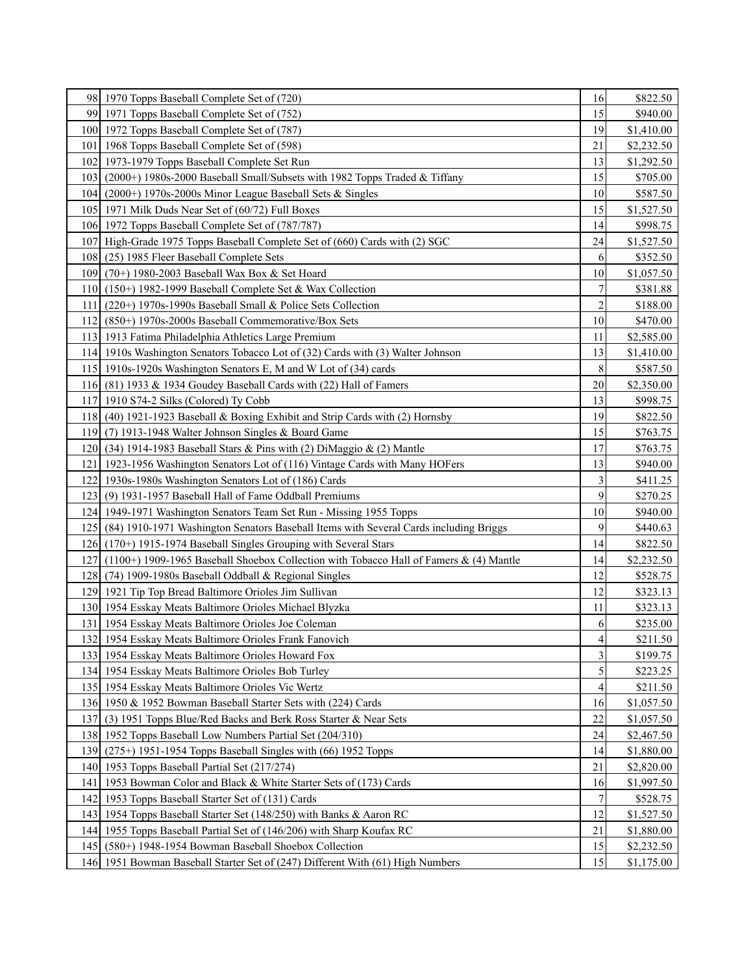|     | 98 1970 Topps Baseball Complete Set of (720)                                               | 16                      | \$822.50   |
|-----|--------------------------------------------------------------------------------------------|-------------------------|------------|
|     | 99 1971 Topps Baseball Complete Set of (752)                                               | 15                      | \$940.00   |
|     | 100 1972 Topps Baseball Complete Set of (787)                                              | 19                      | \$1,410.00 |
|     | 101   1968 Topps Baseball Complete Set of (598)                                            | 21                      | \$2,232.50 |
|     | 102 1973-1979 Topps Baseball Complete Set Run                                              | 13                      | \$1,292.50 |
|     | 103 (2000+) 1980s-2000 Baseball Small/Subsets with 1982 Topps Traded & Tiffany             | 15                      | \$705.00   |
|     | 104 (2000+) 1970s-2000s Minor League Baseball Sets & Singles                               | 10                      | \$587.50   |
|     | 105 1971 Milk Duds Near Set of (60/72) Full Boxes                                          | 15                      | \$1,527.50 |
|     | 106 1972 Topps Baseball Complete Set of (787/787)                                          | 14                      | \$998.75   |
|     | 107 High-Grade 1975 Topps Baseball Complete Set of (660) Cards with (2) SGC                | 24                      | \$1,527.50 |
|     | 108 (25) 1985 Fleer Baseball Complete Sets                                                 | 6                       | \$352.50   |
|     | 109 (70+) 1980-2003 Baseball Wax Box & Set Hoard                                           | 10                      | \$1,057.50 |
|     | 110 $(150+)$ 1982-1999 Baseball Complete Set & Wax Collection                              | 7                       | \$381.88   |
| 111 | $(220+)$ 1970s-1990s Baseball Small & Police Sets Collection                               | $\overline{c}$          | \$188.00   |
|     | 112 (850+) 1970s-2000s Baseball Commemorative/Box Sets                                     | 10                      | \$470.00   |
|     | 113 1913 Fatima Philadelphia Athletics Large Premium                                       | 11                      | \$2,585.00 |
|     | 114 1910s Washington Senators Tobacco Lot of (32) Cards with (3) Walter Johnson            | 13                      | \$1,410.00 |
|     | 115 1910s-1920s Washington Senators E, M and W Lot of (34) cards                           | 8                       | \$587.50   |
|     | 116 (81) 1933 & 1934 Goudey Baseball Cards with $(22)$ Hall of Famers                      | 20                      | \$2,350.00 |
|     | 117 1910 S74-2 Silks (Colored) Ty Cobb                                                     | 13                      | \$998.75   |
|     | 118 (40) 1921-1923 Baseball & Boxing Exhibit and Strip Cards with (2) Hornsby              | 19                      | \$822.50   |
|     | 119 (7) 1913-1948 Walter Johnson Singles & Board Game                                      | 15                      | \$763.75   |
|     | 120 (34) 1914-1983 Baseball Stars & Pins with (2) DiMaggio & (2) Mantle                    | 17                      | \$763.75   |
|     | 121   1923-1956 Washington Senators Lot of (116) Vintage Cards with Many HOFers            | 13                      | \$940.00   |
|     | 122 1930s-1980s Washington Senators Lot of (186) Cards                                     | 3                       | \$411.25   |
|     | 123 (9) 1931-1957 Baseball Hall of Fame Oddball Premiums                                   | 9                       | \$270.25   |
|     | 124   1949-1971 Washington Senators Team Set Run - Missing 1955 Topps                      | 10                      | \$940.00   |
|     | 125 (84) 1910-1971 Washington Senators Baseball Items with Several Cards including Briggs  | 9                       | \$440.63   |
|     | 126 (170+) 1915-1974 Baseball Singles Grouping with Several Stars                          | 14                      | \$822.50   |
|     | 127 (1100+) 1909-1965 Baseball Shoebox Collection with Tobacco Hall of Famers & (4) Mantle | 14                      | \$2,232.50 |
|     | 128 (74) 1909-1980s Baseball Oddball & Regional Singles                                    | 12                      | \$528.75   |
|     | 129 1921 Tip Top Bread Baltimore Orioles Jim Sullivan                                      | 12                      | \$323.13   |
|     | 130 1954 Esskay Meats Baltimore Orioles Michael Blyzka                                     | 11                      | \$323.13   |
|     | 131   1954 Esskay Meats Baltimore Orioles Joe Coleman                                      | 6                       | \$235.00   |
|     | 132 1954 Esskay Meats Baltimore Orioles Frank Fanovich                                     | $\overline{\mathbf{4}}$ | \$211.50   |
|     | 133 1954 Esskay Meats Baltimore Orioles Howard Fox                                         | 3                       | \$199.75   |
|     | 134 1954 Esskay Meats Baltimore Orioles Bob Turley                                         | 5                       | \$223.25   |
|     | 135 1954 Esskay Meats Baltimore Orioles Vic Wertz                                          | 4                       | \$211.50   |
|     | 136 1950 & 1952 Bowman Baseball Starter Sets with (224) Cards                              | 16                      | \$1,057.50 |
| 137 | (3) 1951 Topps Blue/Red Backs and Berk Ross Starter & Near Sets                            | 22                      | \$1,057.50 |
|     | 138 1952 Topps Baseball Low Numbers Partial Set (204/310)                                  | 24                      | \$2,467.50 |
|     | 139 (275+) 1951-1954 Topps Baseball Singles with (66) 1952 Topps                           | 14                      | \$1,880.00 |
|     | 140 1953 Topps Baseball Partial Set (217/274)                                              | 21                      | \$2,820.00 |
|     | 141   1953 Bowman Color and Black & White Starter Sets of (173) Cards                      | 16                      | \$1,997.50 |
|     | 142   1953 Topps Baseball Starter Set of (131) Cards                                       | 7                       | \$528.75   |
|     | 143 1954 Topps Baseball Starter Set (148/250) with Banks & Aaron RC                        | 12                      | \$1,527.50 |
|     | 144 1955 Topps Baseball Partial Set of (146/206) with Sharp Koufax RC                      | 21                      | \$1,880.00 |
|     | 145 (580+) 1948-1954 Bowman Baseball Shoebox Collection                                    | 15                      | \$2,232.50 |
|     | 146 1951 Bowman Baseball Starter Set of (247) Different With (61) High Numbers             | 15                      | \$1,175.00 |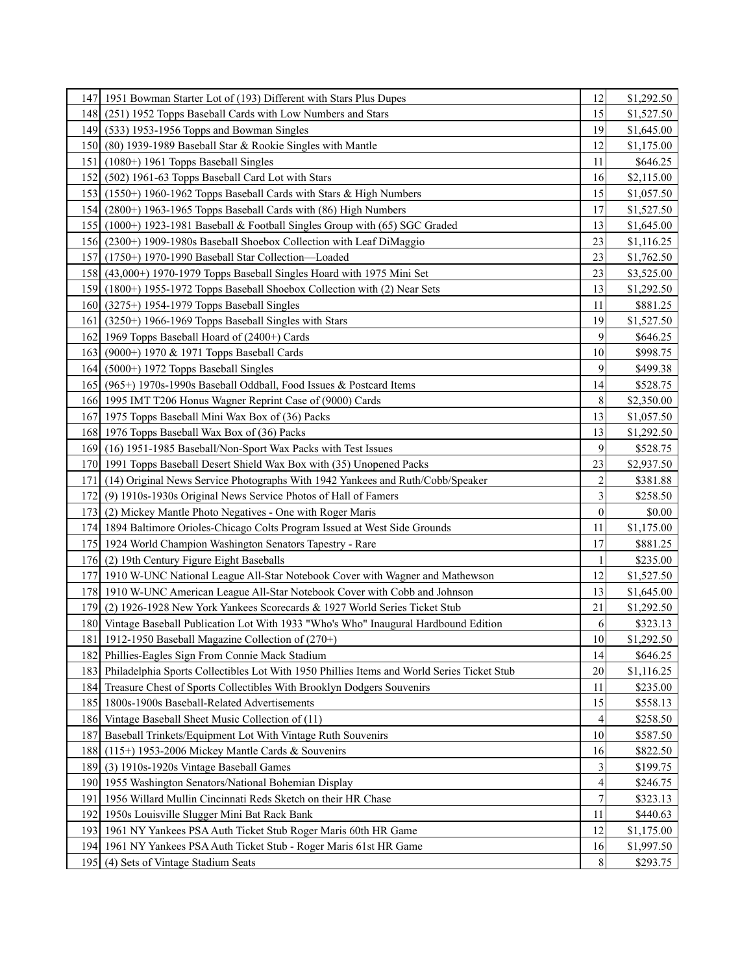|      | 147   1951 Bowman Starter Lot of (193) Different with Stars Plus Dupes                         | 12             | \$1,292.50 |
|------|------------------------------------------------------------------------------------------------|----------------|------------|
|      | 148 (251) 1952 Topps Baseball Cards with Low Numbers and Stars                                 | 15             | \$1,527.50 |
|      | 149 (533) 1953-1956 Topps and Bowman Singles                                                   | 19             | \$1,645.00 |
|      | 150 (80) 1939-1989 Baseball Star & Rookie Singles with Mantle                                  | 12             | \$1,175.00 |
|      | 151 $(1080+)$ 1961 Topps Baseball Singles                                                      | 11             | \$646.25   |
|      | 152 (502) 1961-63 Topps Baseball Card Lot with Stars                                           | 16             | \$2,115.00 |
|      | 153 (1550+) 1960-1962 Topps Baseball Cards with Stars & High Numbers                           | 15             | \$1,057.50 |
|      | 154 (2800+) 1963-1965 Topps Baseball Cards with (86) High Numbers                              | 17             | \$1,527.50 |
|      | 155 (1000+) 1923-1981 Baseball & Football Singles Group with (65) SGC Graded                   | 13             | \$1,645.00 |
|      | 156 (2300+) 1909-1980s Baseball Shoebox Collection with Leaf DiMaggio                          | 23             | \$1,116.25 |
|      | 157 (1750+) 1970-1990 Baseball Star Collection—Loaded                                          | 23             | \$1,762.50 |
|      | 158 (43,000+) 1970-1979 Topps Baseball Singles Hoard with 1975 Mini Set                        | 23             | \$3,525.00 |
|      | 159 (1800+) 1955-1972 Topps Baseball Shoebox Collection with (2) Near Sets                     | 13             | \$1,292.50 |
|      | 160 (3275+) 1954-1979 Topps Baseball Singles                                                   | 11             | \$881.25   |
| 161  | $(3250+)$ 1966-1969 Topps Baseball Singles with Stars                                          | 19             | \$1,527.50 |
|      | 162 1969 Topps Baseball Hoard of (2400+) Cards                                                 | 9              | \$646.25   |
|      | 163 (9000+) 1970 & 1971 Topps Baseball Cards                                                   | 10             | \$998.75   |
|      | $164$ (5000+) 1972 Topps Baseball Singles                                                      | 9              | \$499.38   |
|      | 165 (965+) 1970s-1990s Baseball Oddball, Food Issues & Postcard Items                          | 14             | \$528.75   |
|      | 166 1995 IMT T206 Honus Wagner Reprint Case of (9000) Cards                                    | 8              | \$2,350.00 |
|      | 167 1975 Topps Baseball Mini Wax Box of (36) Packs                                             | 13             | \$1,057.50 |
|      | 168 1976 Topps Baseball Wax Box of (36) Packs                                                  | 13             | \$1,292.50 |
|      | 169 (16) 1951-1985 Baseball/Non-Sport Wax Packs with Test Issues                               | 9              | \$528.75   |
|      | 170 1991 Topps Baseball Desert Shield Wax Box with (35) Unopened Packs                         | 23             | \$2,937.50 |
| 171  | (14) Original News Service Photographs With 1942 Yankees and Ruth/Cobb/Speaker                 | $\overline{c}$ | \$381.88   |
| 172  | (9) 1910s-1930s Original News Service Photos of Hall of Famers                                 | 3              | \$258.50   |
|      | 173 (2) Mickey Mantle Photo Negatives - One with Roger Maris                                   | $\overline{0}$ | \$0.00     |
|      | 174 1894 Baltimore Orioles-Chicago Colts Program Issued at West Side Grounds                   | 11             | \$1,175.00 |
|      | 175 1924 World Champion Washington Senators Tapestry - Rare                                    | 17             | \$881.25   |
|      | 176 (2) 19th Century Figure Eight Baseballs                                                    |                | \$235.00   |
|      | 177 1910 W-UNC National League All-Star Notebook Cover with Wagner and Mathewson               | 12             | \$1,527.50 |
|      | 178 1910 W-UNC American League All-Star Notebook Cover with Cobb and Johnson                   | 13             | \$1,645.00 |
| 179I | (2) 1926-1928 New York Yankees Scorecards & 1927 World Series Ticket Stub                      | 21             | \$1,292.50 |
|      | 180 Vintage Baseball Publication Lot With 1933 "Who's Who" Inaugural Hardbound Edition         | 6              | \$323.13   |
|      | 181   1912-1950 Baseball Magazine Collection of (270+)                                         | $10\,$         | \$1,292.50 |
|      | 182 Phillies-Eagles Sign From Connie Mack Stadium                                              | 14             | \$646.25   |
|      | 183 Philadelphia Sports Collectibles Lot With 1950 Phillies Items and World Series Ticket Stub | 20             | \$1,116.25 |
|      | 184 Treasure Chest of Sports Collectibles With Brooklyn Dodgers Souvenirs                      | 11             | \$235.00   |
|      | 185   1800s-1900s Baseball-Related Advertisements                                              | 15             | \$558.13   |
|      | 186 Vintage Baseball Sheet Music Collection of (11)                                            | 4              | \$258.50   |
| 187  | Baseball Trinkets/Equipment Lot With Vintage Ruth Souvenirs                                    | 10             | \$587.50   |
|      | 188 (115+) 1953-2006 Mickey Mantle Cards & Souvenirs                                           | 16             | \$822.50   |
|      | 189 (3) 1910s-1920s Vintage Baseball Games                                                     | 3              | \$199.75   |
|      | 190 1955 Washington Senators/National Bohemian Display                                         | 4              | \$246.75   |
| 191  | 1956 Willard Mullin Cincinnati Reds Sketch on their HR Chase                                   | 7              | \$323.13   |
|      | 192 1950s Louisville Slugger Mini Bat Rack Bank                                                | 11             | \$440.63   |
|      | 193   1961 NY Yankees PSA Auth Ticket Stub Roger Maris 60th HR Game                            | 12             | \$1,175.00 |
|      | 194   1961 NY Yankees PSA Auth Ticket Stub - Roger Maris 61st HR Game                          | 16             | \$1,997.50 |
|      | 195 (4) Sets of Vintage Stadium Seats                                                          | 8              | \$293.75   |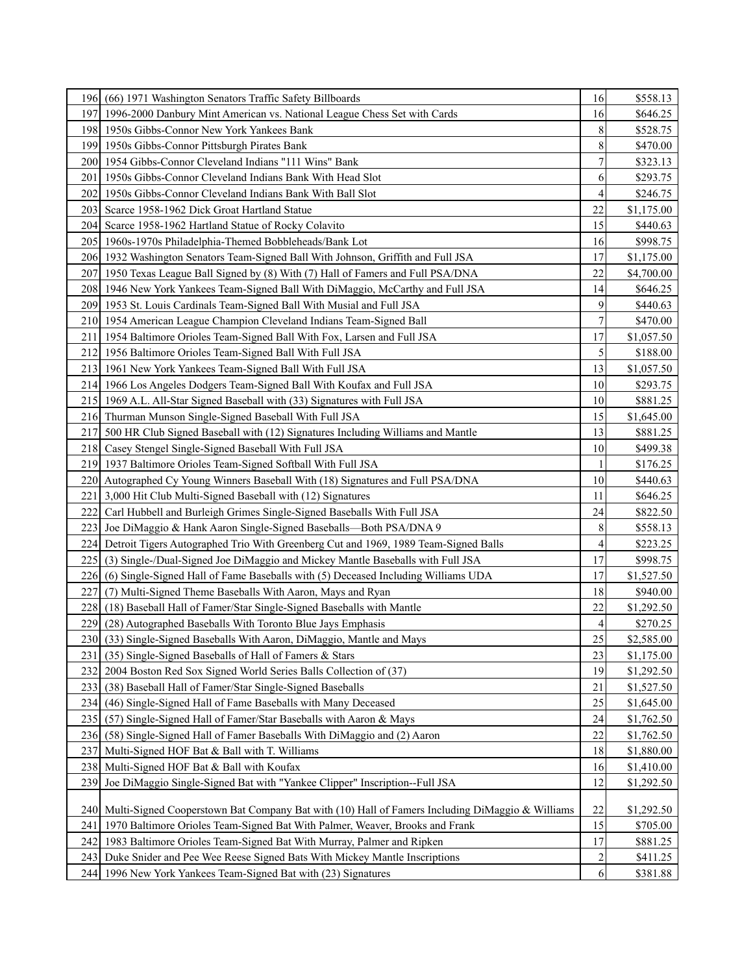|                  | 196 (66) 1971 Washington Senators Traffic Safety Billboards                                         | 16                      | \$558.13   |
|------------------|-----------------------------------------------------------------------------------------------------|-------------------------|------------|
|                  | 197 1996-2000 Danbury Mint American vs. National League Chess Set with Cards                        | 16                      | \$646.25   |
|                  | 198 1950s Gibbs-Connor New York Yankees Bank                                                        | 8                       | \$528.75   |
|                  | 199 1950s Gibbs-Connor Pittsburgh Pirates Bank                                                      | 8                       | \$470.00   |
|                  | 200   1954 Gibbs-Connor Cleveland Indians "111 Wins" Bank                                           | 7                       | \$323.13   |
| 201 <sup> </sup> | 1950s Gibbs-Connor Cleveland Indians Bank With Head Slot                                            | 6                       | \$293.75   |
|                  | 202   1950s Gibbs-Connor Cleveland Indians Bank With Ball Slot                                      | 4                       | \$246.75   |
|                  | 203 Scarce 1958-1962 Dick Groat Hartland Statue                                                     | 22                      | \$1,175.00 |
|                  | 204 Scarce 1958-1962 Hartland Statue of Rocky Colavito                                              | 15                      | \$440.63   |
|                  | 205 1960s-1970s Philadelphia-Themed Bobbleheads/Bank Lot                                            | 16                      | \$998.75   |
|                  | 206 1932 Washington Senators Team-Signed Ball With Johnson, Griffith and Full JSA                   | 17                      | \$1,175.00 |
|                  | 207 1950 Texas League Ball Signed by (8) With (7) Hall of Famers and Full PSA/DNA                   | 22                      | \$4,700.00 |
|                  | 208   1946 New York Yankees Team-Signed Ball With DiMaggio, McCarthy and Full JSA                   | 14                      | \$646.25   |
|                  | 209 1953 St. Louis Cardinals Team-Signed Ball With Musial and Full JSA                              | 9                       | \$440.63   |
|                  | 210 1954 American League Champion Cleveland Indians Team-Signed Ball                                | 7                       | \$470.00   |
|                  | 211 1954 Baltimore Orioles Team-Signed Ball With Fox, Larsen and Full JSA                           | 17                      | \$1,057.50 |
|                  | 212 1956 Baltimore Orioles Team-Signed Ball With Full JSA                                           | 5                       | \$188.00   |
|                  | 213 1961 New York Yankees Team-Signed Ball With Full JSA                                            | 13                      | \$1,057.50 |
|                  | 214 1966 Los Angeles Dodgers Team-Signed Ball With Koufax and Full JSA                              | 10                      | \$293.75   |
|                  | 215 1969 A.L. All-Star Signed Baseball with (33) Signatures with Full JSA                           | 10                      | \$881.25   |
|                  | 216 Thurman Munson Single-Signed Baseball With Full JSA                                             | 15                      | \$1,645.00 |
| 2171             | 500 HR Club Signed Baseball with (12) Signatures Including Williams and Mantle                      | 13                      | \$881.25   |
|                  | 218 Casey Stengel Single-Signed Baseball With Full JSA                                              | 10                      | \$499.38   |
|                  | 219 1937 Baltimore Orioles Team-Signed Softball With Full JSA                                       |                         | \$176.25   |
|                  | 220 Autographed Cy Young Winners Baseball With (18) Signatures and Full PSA/DNA                     | 10                      | \$440.63   |
| 221              | 3,000 Hit Club Multi-Signed Baseball with (12) Signatures                                           | 11                      | \$646.25   |
| 222 I            | Carl Hubbell and Burleigh Grimes Single-Signed Baseballs With Full JSA                              | 24                      | \$822.50   |
| 223              | Joe DiMaggio & Hank Aaron Single-Signed Baseballs-Both PSA/DNA 9                                    | 8                       | \$558.13   |
|                  | 224 Detroit Tigers Autographed Trio With Greenberg Cut and 1969, 1989 Team-Signed Balls             | 4                       | \$223.25   |
|                  | 225 (3) Single-/Dual-Signed Joe DiMaggio and Mickey Mantle Baseballs with Full JSA                  | 17                      | \$998.75   |
| 226 <sup>1</sup> | (6) Single-Signed Hall of Fame Baseballs with (5) Deceased Including Williams UDA                   | 17                      | \$1,527.50 |
| 2271             | (7) Multi-Signed Theme Baseballs With Aaron, Mays and Ryan                                          | 18                      | \$940.00   |
|                  | 228 (18) Baseball Hall of Famer/Star Single-Signed Baseballs with Mantle                            | 22                      | \$1,292.50 |
| 229              | (28) Autographed Baseballs With Toronto Blue Jays Emphasis                                          | 4                       | \$270.25   |
|                  | 230 (33) Single-Signed Baseballs With Aaron, DiMaggio, Mantle and Mays                              | 25                      | \$2,585.00 |
| 231 I            | (35) Single-Signed Baseballs of Hall of Famers & Stars                                              | 23                      | \$1,175.00 |
| 2321             | 2004 Boston Red Sox Signed World Series Balls Collection of (37)                                    | 19                      | \$1,292.50 |
| 233              | (38) Baseball Hall of Famer/Star Single-Signed Baseballs                                            | 21                      | \$1,527.50 |
| 234 I            | (46) Single-Signed Hall of Fame Baseballs with Many Deceased                                        | 25                      | \$1,645.00 |
| 235              | (57) Single-Signed Hall of Famer/Star Baseballs with Aaron & Mays                                   | 24                      | \$1,762.50 |
| 236              | (58) Single-Signed Hall of Famer Baseballs With DiMaggio and (2) Aaron                              | 22                      | \$1,762.50 |
| 237              | Multi-Signed HOF Bat & Ball with T. Williams                                                        | 18                      | \$1,880.00 |
| 238              | Multi-Signed HOF Bat & Ball with Koufax                                                             | 16                      | \$1,410.00 |
| 239              | Joe DiMaggio Single-Signed Bat with "Yankee Clipper" Inscription--Full JSA                          | 12                      | \$1,292.50 |
|                  |                                                                                                     |                         |            |
|                  | 240 Multi-Signed Cooperstown Bat Company Bat with (10) Hall of Famers Including DiMaggio & Williams | 22                      | \$1,292.50 |
|                  | 241   1970 Baltimore Orioles Team-Signed Bat With Palmer, Weaver, Brooks and Frank                  | 15                      | \$705.00   |
|                  | 242   1983 Baltimore Orioles Team-Signed Bat With Murray, Palmer and Ripken                         | 17                      | \$881.25   |
| 243 I            | Duke Snider and Pee Wee Reese Signed Bats With Mickey Mantle Inscriptions                           | $\overline{\mathbf{c}}$ | \$411.25   |
|                  | 244 1996 New York Yankees Team-Signed Bat with (23) Signatures                                      | $6 \mid$                | \$381.88   |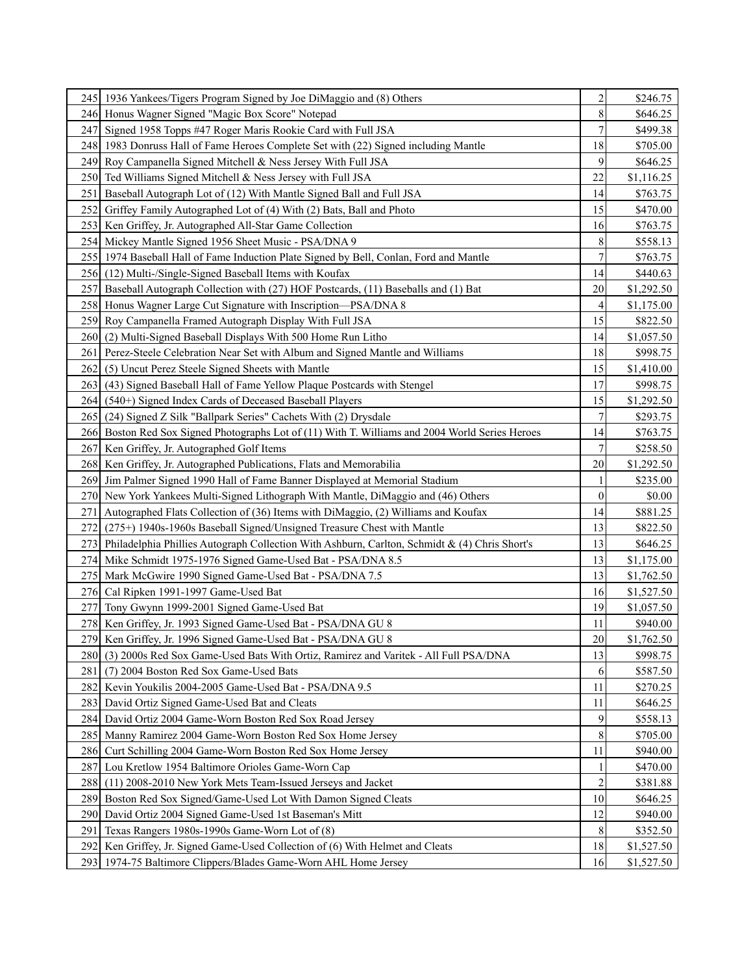|                  | 245   1936 Yankees/Tigers Program Signed by Joe DiMaggio and (8) Others                           | $\overline{c}$   | \$246.75   |
|------------------|---------------------------------------------------------------------------------------------------|------------------|------------|
|                  | 246 Honus Wagner Signed "Magic Box Score" Notepad                                                 | 8                | \$646.25   |
|                  | 247 Signed 1958 Topps #47 Roger Maris Rookie Card with Full JSA                                   | $\overline{7}$   | \$499.38   |
|                  | 248 1983 Donruss Hall of Fame Heroes Complete Set with (22) Signed including Mantle               | 18               | \$705.00   |
|                  | 249 Roy Campanella Signed Mitchell & Ness Jersey With Full JSA                                    | 9                | \$646.25   |
|                  | 250 Ted Williams Signed Mitchell & Ness Jersey with Full JSA                                      | 22               | \$1,116.25 |
| 251              | Baseball Autograph Lot of (12) With Mantle Signed Ball and Full JSA                               | 14               | \$763.75   |
| 252 I            | Griffey Family Autographed Lot of (4) With (2) Bats, Ball and Photo                               | 15               | \$470.00   |
|                  | 253 Ken Griffey, Jr. Autographed All-Star Game Collection                                         | 16               | \$763.75   |
|                  | 254 Mickey Mantle Signed 1956 Sheet Music - PSA/DNA 9                                             | 8                | \$558.13   |
|                  | 255 1974 Baseball Hall of Fame Induction Plate Signed by Bell, Conlan, Ford and Mantle            | $\overline{7}$   | \$763.75   |
|                  | 256 (12) Multi-/Single-Signed Baseball Items with Koufax                                          | 14               | \$440.63   |
|                  | 257 Baseball Autograph Collection with (27) HOF Postcards, (11) Baseballs and (1) Bat             | 20               | \$1,292.50 |
|                  | 258 Honus Wagner Large Cut Signature with Inscription—PSA/DNA 8                                   | 4                | \$1,175.00 |
|                  | 259 Roy Campanella Framed Autograph Display With Full JSA                                         | 15               | \$822.50   |
| 260 <sup>1</sup> | (2) Multi-Signed Baseball Displays With 500 Home Run Litho                                        | 14               | \$1,057.50 |
|                  | 261 Perez-Steele Celebration Near Set with Album and Signed Mantle and Williams                   | 18               | \$998.75   |
| 262 l            | (5) Uncut Perez Steele Signed Sheets with Mantle                                                  | 15               | \$1,410.00 |
| 263 I            | (43) Signed Baseball Hall of Fame Yellow Plaque Postcards with Stengel                            | 17               | \$998.75   |
| 264 I            | (540+) Signed Index Cards of Deceased Baseball Players                                            | 15               | \$1,292.50 |
| 2651             | (24) Signed Z Silk "Ballpark Series" Cachets With (2) Drysdale                                    | 7                | \$293.75   |
|                  | 266 Boston Red Sox Signed Photographs Lot of (11) With T. Williams and 2004 World Series Heroes   | 14               | \$763.75   |
|                  | 267 Ken Griffey, Jr. Autographed Golf Items                                                       | $\overline{7}$   | \$258.50   |
|                  | 268 Ken Griffey, Jr. Autographed Publications, Flats and Memorabilia                              | 20               | \$1,292.50 |
|                  | 269 Jim Palmer Signed 1990 Hall of Fame Banner Displayed at Memorial Stadium                      |                  | \$235.00   |
|                  | 270 New York Yankees Multi-Signed Lithograph With Mantle, DiMaggio and (46) Others                | $\boldsymbol{0}$ | \$0.00     |
| 271              | Autographed Flats Collection of (36) Items with DiMaggio, (2) Williams and Koufax                 | 14               | \$881.25   |
| 272              | (275+) 1940s-1960s Baseball Signed/Unsigned Treasure Chest with Mantle                            | 13               | \$822.50   |
|                  | 273 Philadelphia Phillies Autograph Collection With Ashburn, Carlton, Schmidt & (4) Chris Short's | 13               | \$646.25   |
|                  | 274 Mike Schmidt 1975-1976 Signed Game-Used Bat - PSA/DNA 8.5                                     | 13               | \$1,175.00 |
|                  | 275 Mark McGwire 1990 Signed Game-Used Bat - PSA/DNA 7.5                                          | 13               | \$1,762.50 |
|                  | 276 Cal Ripken 1991-1997 Game-Used Bat                                                            | 16               | \$1,527.50 |
| 277I             | Tony Gwynn 1999-2001 Signed Game-Used Bat                                                         | 19               | \$1,057.50 |
|                  | 278 Ken Griffey, Jr. 1993 Signed Game-Used Bat - PSA/DNA GU 8                                     | 11               | \$940.00   |
|                  | 279 Ken Griffey, Jr. 1996 Signed Game-Used Bat - PSA/DNA GU 8                                     | <b>20</b>        | \$1,762.50 |
|                  | 280 (3) 2000s Red Sox Game-Used Bats With Ortiz, Ramirez and Varitek - All Full PSA/DNA           | 13               | \$998.75   |
| 281 I            | (7) 2004 Boston Red Sox Game-Used Bats                                                            | 6                | \$587.50   |
|                  | 282 Kevin Youkilis 2004-2005 Game-Used Bat - PSA/DNA 9.5                                          | 11               | \$270.25   |
| 283 I            | David Ortiz Signed Game-Used Bat and Cleats                                                       | 11               | \$646.25   |
| 284              | David Ortiz 2004 Game-Worn Boston Red Sox Road Jersey                                             | 9                | \$558.13   |
|                  | 285 Manny Ramirez 2004 Game-Worn Boston Red Sox Home Jersey                                       | 8                | \$705.00   |
|                  | 286 Curt Schilling 2004 Game-Worn Boston Red Sox Home Jersey                                      | 11               | \$940.00   |
|                  | 287 Lou Kretlow 1954 Baltimore Orioles Game-Worn Cap                                              |                  | \$470.00   |
| 288              | (11) 2008-2010 New York Mets Team-Issued Jerseys and Jacket                                       | $\overline{c}$   | \$381.88   |
| 2891             | Boston Red Sox Signed/Game-Used Lot With Damon Signed Cleats                                      | 10               | \$646.25   |
| 290 <sub>1</sub> | David Ortiz 2004 Signed Game-Used 1st Baseman's Mitt                                              | 12               | \$940.00   |
| 291              | Texas Rangers 1980s-1990s Game-Worn Lot of (8)                                                    | 8                | \$352.50   |
|                  | 292 Ken Griffey, Jr. Signed Game-Used Collection of (6) With Helmet and Cleats                    | 18               | \$1,527.50 |
|                  | 293 1974-75 Baltimore Clippers/Blades Game-Worn AHL Home Jersey                                   | 16               | \$1,527.50 |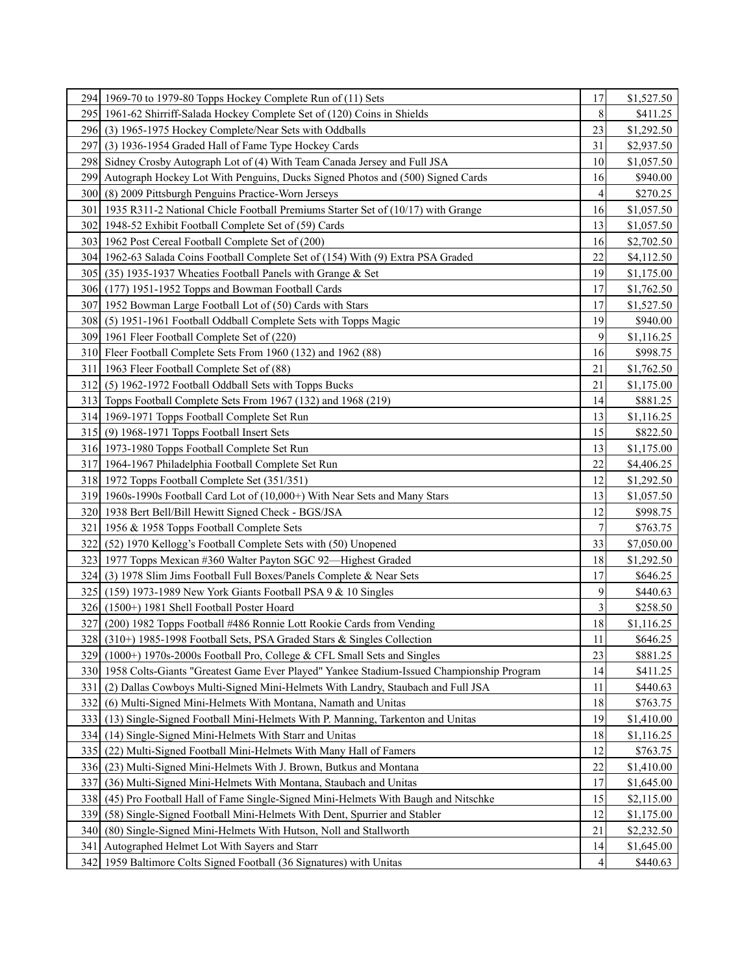|                  | 294   1969-70 to 1979-80 Topps Hockey Complete Run of (11) Sets                              | 17 | \$1,527.50 |
|------------------|----------------------------------------------------------------------------------------------|----|------------|
|                  | 295 1961-62 Shirriff-Salada Hockey Complete Set of (120) Coins in Shields                    | 8  | \$411.25   |
|                  | 296 (3) 1965-1975 Hockey Complete/Near Sets with Oddballs                                    | 23 | \$1,292.50 |
| 297              | (3) 1936-1954 Graded Hall of Fame Type Hockey Cards                                          | 31 | \$2,937.50 |
|                  | 298 Sidney Crosby Autograph Lot of (4) With Team Canada Jersey and Full JSA                  | 10 | \$1,057.50 |
|                  | 299 Autograph Hockey Lot With Penguins, Ducks Signed Photos and (500) Signed Cards           | 16 | \$940.00   |
|                  | 300 (8) 2009 Pittsburgh Penguins Practice-Worn Jerseys                                       | 4  | \$270.25   |
|                  | 301 1935 R311-2 National Chicle Football Premiums Starter Set of (10/17) with Grange         | 16 | \$1,057.50 |
| 302 <sub>1</sub> | 1948-52 Exhibit Football Complete Set of (59) Cards                                          | 13 | \$1,057.50 |
|                  | 303   1962 Post Cereal Football Complete Set of (200)                                        | 16 | \$2,702.50 |
|                  | 304 1962-63 Salada Coins Football Complete Set of (154) With (9) Extra PSA Graded            | 22 | \$4,112.50 |
|                  | 305 (35) 1935-1937 Wheaties Football Panels with Grange & Set                                | 19 | \$1,175.00 |
|                  | 306 (177) 1951-1952 Topps and Bowman Football Cards                                          | 17 | \$1,762.50 |
|                  | 307 1952 Bowman Large Football Lot of (50) Cards with Stars                                  | 17 | \$1,527.50 |
|                  | 308 (5) 1951-1961 Football Oddball Complete Sets with Topps Magic                            | 19 | \$940.00   |
|                  | 309 1961 Fleer Football Complete Set of (220)                                                | 9  | \$1,116.25 |
|                  | 310 Fleer Football Complete Sets From 1960 (132) and 1962 (88)                               | 16 | \$998.75   |
|                  | 311 1963 Fleer Football Complete Set of (88)                                                 | 21 | \$1,762.50 |
|                  | 312 (5) 1962-1972 Football Oddball Sets with Topps Bucks                                     | 21 | \$1,175.00 |
|                  | 313 Topps Football Complete Sets From 1967 (132) and 1968 (219)                              | 14 | \$881.25   |
|                  | 314 1969-1971 Topps Football Complete Set Run                                                | 13 | \$1,116.25 |
|                  | 315 (9) 1968-1971 Topps Football Insert Sets                                                 | 15 | \$822.50   |
|                  | 316 1973-1980 Topps Football Complete Set Run                                                | 13 | \$1,175.00 |
|                  | 317 1964-1967 Philadelphia Football Complete Set Run                                         | 22 | \$4,406.25 |
|                  | 318 1972 Topps Football Complete Set (351/351)                                               | 12 | \$1,292.50 |
|                  | 319 1960s-1990s Football Card Lot of (10,000+) With Near Sets and Many Stars                 | 13 | \$1,057.50 |
|                  | 320 1938 Bert Bell/Bill Hewitt Signed Check - BGS/JSA                                        | 12 | \$998.75   |
| 321              | 1956 & 1958 Topps Football Complete Sets                                                     | 7  | \$763.75   |
|                  | 322 (52) 1970 Kellogg's Football Complete Sets with (50) Unopened                            | 33 | \$7,050.00 |
|                  | 323 1977 Topps Mexican #360 Walter Payton SGC 92—Highest Graded                              | 18 | \$1,292.50 |
|                  | 324 (3) 1978 Slim Jims Football Full Boxes/Panels Complete & Near Sets                       | 17 | \$646.25   |
|                  | 325 (159) 1973-1989 New York Giants Football PSA 9 & 10 Singles                              | 9  | \$440.63   |
|                  | 326 (1500+) 1981 Shell Football Poster Hoard                                                 | 3  | \$258.50   |
| 327I             | (200) 1982 Topps Football #486 Ronnie Lott Rookie Cards from Vending                         | 18 | \$1,116.25 |
|                  | 328 (310+) 1985-1998 Football Sets, PSA Graded Stars & Singles Collection                    | 11 | \$646.25   |
|                  | 329 (1000+) 1970s-2000s Football Pro, College & CFL Small Sets and Singles                   | 23 | \$881.25   |
|                  | 330 1958 Colts-Giants "Greatest Game Ever Played" Yankee Stadium-Issued Championship Program | 14 | \$411.25   |
| 331              | (2) Dallas Cowboys Multi-Signed Mini-Helmets With Landry, Staubach and Full JSA              | 11 | \$440.63   |
| 3321             | (6) Multi-Signed Mini-Helmets With Montana, Namath and Unitas                                | 18 | \$763.75   |
| 3331             | (13) Single-Signed Football Mini-Helmets With P. Manning, Tarkenton and Unitas               | 19 | \$1,410.00 |
| 334              | (14) Single-Signed Mini-Helmets With Starr and Unitas                                        | 18 | \$1,116.25 |
|                  | 335 (22) Multi-Signed Football Mini-Helmets With Many Hall of Famers                         | 12 | \$763.75   |
| 336              | (23) Multi-Signed Mini-Helmets With J. Brown, Butkus and Montana                             | 22 | \$1,410.00 |
| 337              | (36) Multi-Signed Mini-Helmets With Montana, Staubach and Unitas                             | 17 | \$1,645.00 |
| 338              | (45) Pro Football Hall of Fame Single-Signed Mini-Helmets With Baugh and Nitschke            | 15 | \$2,115.00 |
| 339              | (58) Single-Signed Football Mini-Helmets With Dent, Spurrier and Stabler                     | 12 | \$1,175.00 |
| 340              | (80) Single-Signed Mini-Helmets With Hutson, Noll and Stallworth                             | 21 | \$2,232.50 |
| 341 I            | Autographed Helmet Lot With Sayers and Starr                                                 | 14 | \$1,645.00 |
|                  | 342 1959 Baltimore Colts Signed Football (36 Signatures) with Unitas                         | 4  | \$440.63   |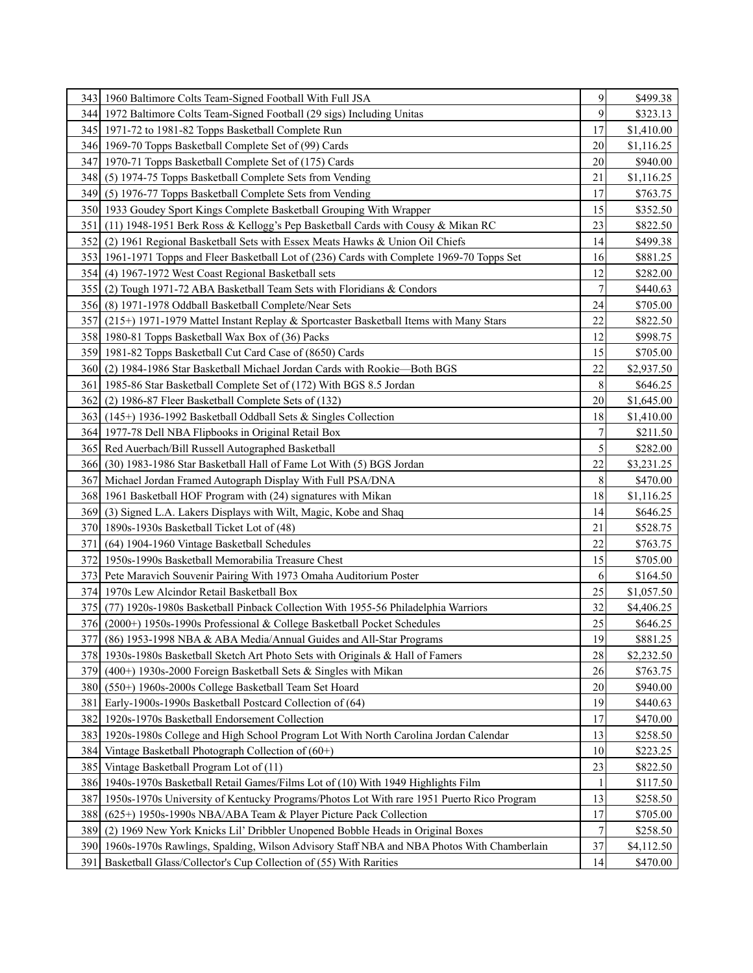|                  | 343   1960 Baltimore Colts Team-Signed Football With Full JSA                                 | 9              | \$499.38   |
|------------------|-----------------------------------------------------------------------------------------------|----------------|------------|
|                  | 344 1972 Baltimore Colts Team-Signed Football (29 sigs) Including Unitas                      | 9              | \$323.13   |
|                  | 345 1971-72 to 1981-82 Topps Basketball Complete Run                                          | 17             | \$1,410.00 |
|                  | 346 1969-70 Topps Basketball Complete Set of (99) Cards                                       | 20             | \$1,116.25 |
|                  | 347 1970-71 Topps Basketball Complete Set of (175) Cards                                      | 20             | \$940.00   |
|                  | 348 (5) 1974-75 Topps Basketball Complete Sets from Vending                                   | 21             | \$1,116.25 |
|                  | 349 (5) 1976-77 Topps Basketball Complete Sets from Vending                                   | 17             | \$763.75   |
|                  | 350 1933 Goudey Sport Kings Complete Basketball Grouping With Wrapper                         | 15             | \$352.50   |
| 351              | (11) 1948-1951 Berk Ross & Kellogg's Pep Basketball Cards with Cousy & Mikan RC               | 23             | \$822.50   |
|                  | 352 (2) 1961 Regional Basketball Sets with Essex Meats Hawks & Union Oil Chiefs               | 14             | \$499.38   |
|                  | 353 1961-1971 Topps and Fleer Basketball Lot of (236) Cards with Complete 1969-70 Topps Set   | 16             | \$881.25   |
|                  | 354 (4) 1967-1972 West Coast Regional Basketball sets                                         | 12             | \$282.00   |
|                  | 355 (2) Tough 1971-72 ABA Basketball Team Sets with Floridians & Condors                      | $\overline{7}$ | \$440.63   |
|                  | 356 (8) 1971-1978 Oddball Basketball Complete/Near Sets                                       | 24             | \$705.00   |
|                  | 357 (215+) 1971-1979 Mattel Instant Replay & Sportcaster Basketball Items with Many Stars     | 22             | \$822.50   |
|                  | 358 1980-81 Topps Basketball Wax Box of (36) Packs                                            | 12             | \$998.75   |
|                  | 359 1981-82 Topps Basketball Cut Card Case of (8650) Cards                                    | 15             | \$705.00   |
|                  | 360 (2) 1984-1986 Star Basketball Michael Jordan Cards with Rookie—Both BGS                   | 22             | \$2,937.50 |
| 361              | 1985-86 Star Basketball Complete Set of (172) With BGS 8.5 Jordan                             | 8              | \$646.25   |
| 362 <sub>l</sub> | (2) 1986-87 Fleer Basketball Complete Sets of (132)                                           | 20             | \$1,645.00 |
|                  | 363 (145+) 1936-1992 Basketball Oddball Sets & Singles Collection                             | 18             | \$1,410.00 |
|                  | 364 1977-78 Dell NBA Flipbooks in Original Retail Box                                         | $\overline{7}$ | \$211.50   |
|                  | 365 Red Auerbach/Bill Russell Autographed Basketball                                          | 5              | \$282.00   |
|                  | 366 (30) 1983-1986 Star Basketball Hall of Fame Lot With (5) BGS Jordan                       | 22             | \$3,231.25 |
|                  | 367 Michael Jordan Framed Autograph Display With Full PSA/DNA                                 | 8              | \$470.00   |
|                  | 368 1961 Basketball HOF Program with (24) signatures with Mikan                               | 18             | \$1,116.25 |
| 369I             | (3) Signed L.A. Lakers Displays with Wilt, Magic, Kobe and Shaq                               | 14             | \$646.25   |
|                  | 370 1890s-1930s Basketball Ticket Lot of (48)                                                 | 21             | \$528.75   |
| 371 I            | (64) 1904-1960 Vintage Basketball Schedules                                                   | 22             | \$763.75   |
|                  | 372 1950s-1990s Basketball Memorabilia Treasure Chest                                         | 15             | \$705.00   |
|                  | 373 Pete Maravich Souvenir Pairing With 1973 Omaha Auditorium Poster                          | 6              | \$164.50   |
|                  | 374 1970s Lew Alcindor Retail Basketball Box                                                  | 25             | \$1,057.50 |
|                  | 375 (77) 1920s-1980s Basketball Pinback Collection With 1955-56 Philadelphia Warriors         | 32             | \$4,406.25 |
|                  | 376 (2000+) 1950s-1990s Professional & College Basketball Pocket Schedules                    | 25             | \$646.25   |
|                  | 377 (86) 1953-1998 NBA & ABA Media/Annual Guides and All-Star Programs                        | 19             | \$881.25   |
|                  | 378 1930s-1980s Basketball Sketch Art Photo Sets with Originals & Hall of Famers              | 28             | \$2,232.50 |
| 3791             | $(400+)$ 1930s-2000 Foreign Basketball Sets & Singles with Mikan                              | 26             | \$763.75   |
| 380I             | (550+) 1960s-2000s College Basketball Team Set Hoard                                          | 20             | \$940.00   |
| 381              | Early-1900s-1990s Basketball Postcard Collection of (64)                                      | 19             | \$440.63   |
|                  | 382 1920s-1970s Basketball Endorsement Collection                                             | 17             | \$470.00   |
|                  | 383 1920s-1980s College and High School Program Lot With North Carolina Jordan Calendar       | 13             | \$258.50   |
|                  | 384 Vintage Basketball Photograph Collection of (60+)                                         | 10             | \$223.25   |
|                  | 385 Vintage Basketball Program Lot of (11)                                                    | 23             | \$822.50   |
|                  | 386 1940s-1970s Basketball Retail Games/Films Lot of (10) With 1949 Highlights Film           |                | \$117.50   |
| 387              | 1950s-1970s University of Kentucky Programs/Photos Lot With rare 1951 Puerto Rico Program     | 13             | \$258.50   |
| 388              | (625+) 1950s-1990s NBA/ABA Team & Player Picture Pack Collection                              | 17             | \$705.00   |
| 389              | (2) 1969 New York Knicks Lil' Dribbler Unopened Bobble Heads in Original Boxes                | $\overline{7}$ | \$258.50   |
|                  | 390 1960s-1970s Rawlings, Spalding, Wilson Advisory Staff NBA and NBA Photos With Chamberlain | 37             | \$4,112.50 |
| 391              | Basketball Glass/Collector's Cup Collection of (55) With Rarities                             | 14             | \$470.00   |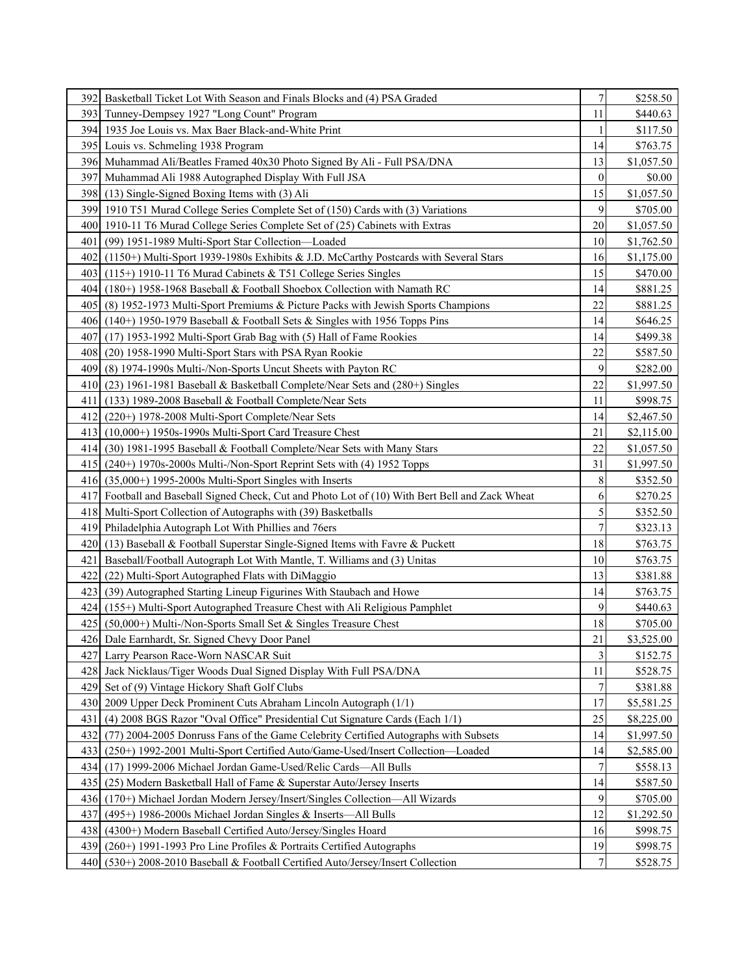|      | 392 Basketball Ticket Lot With Season and Finals Blocks and (4) PSA Graded                      | $\sqrt{ }$       | \$258.50   |
|------|-------------------------------------------------------------------------------------------------|------------------|------------|
|      | 393 Tunney-Dempsey 1927 "Long Count" Program                                                    | 11               | \$440.63   |
|      | 394 1935 Joe Louis vs. Max Baer Black-and-White Print                                           |                  | \$117.50   |
|      | 395 Louis vs. Schmeling 1938 Program                                                            | 14               | \$763.75   |
|      | 396 Muhammad Ali/Beatles Framed 40x30 Photo Signed By Ali - Full PSA/DNA                        | 13               | \$1,057.50 |
|      | 397 Muhammad Ali 1988 Autographed Display With Full JSA                                         | $\boldsymbol{0}$ | \$0.00     |
|      | 398 (13) Single-Signed Boxing Items with (3) Ali                                                | 15               | \$1,057.50 |
|      | 399 1910 T51 Murad College Series Complete Set of (150) Cards with (3) Variations               | 9                | \$705.00   |
|      | 400 1910-11 T6 Murad College Series Complete Set of (25) Cabinets with Extras                   | 20               | \$1,057.50 |
| 401  | (99) 1951-1989 Multi-Sport Star Collection—Loaded                                               | 10               | \$1,762.50 |
|      | 402 (1150+) Multi-Sport 1939-1980s Exhibits & J.D. McCarthy Postcards with Several Stars        | 16               | \$1,175.00 |
|      | 403 (115+) 1910-11 T6 Murad Cabinets & T51 College Series Singles                               | 15               | \$470.00   |
|      | 404 (180+) 1958-1968 Baseball & Football Shoebox Collection with Namath RC                      | 14               | \$881.25   |
| 4051 | (8) 1952-1973 Multi-Sport Premiums & Picture Packs with Jewish Sports Champions                 | 22               | \$881.25   |
|      | 406 (140+) 1950-1979 Baseball & Football Sets & Singles with 1956 Topps Pins                    | 14               | \$646.25   |
| 4071 | (17) 1953-1992 Multi-Sport Grab Bag with (5) Hall of Fame Rookies                               | 14               | \$499.38   |
| 4081 | (20) 1958-1990 Multi-Sport Stars with PSA Ryan Rookie                                           | 22               | \$587.50   |
| 4091 | (8) 1974-1990s Multi-/Non-Sports Uncut Sheets with Payton RC                                    | 9                | \$282.00   |
| 410  | (23) 1961-1981 Baseball & Basketball Complete/Near Sets and (280+) Singles                      | 22               | \$1,997.50 |
| 411  | $(133)$ 1989-2008 Baseball & Football Complete/Near Sets                                        | 11               | \$998.75   |
| 4121 | (220+) 1978-2008 Multi-Sport Complete/Near Sets                                                 | 14               | \$2,467.50 |
| 4131 | $(10,000+)$ 1950s-1990s Multi-Sport Card Treasure Chest                                         | 21               | \$2,115.00 |
|      | 414 (30) 1981-1995 Baseball & Football Complete/Near Sets with Many Stars                       | 22               | \$1,057.50 |
|      | $415$ (240+) 1970s-2000s Multi-/Non-Sport Reprint Sets with (4) 1952 Topps                      | 31               | \$1,997.50 |
|      | $416$ (35,000+) 1995-2000s Multi-Sport Singles with Inserts                                     | 8                | \$352.50   |
|      | 417 Football and Baseball Signed Check, Cut and Photo Lot of (10) With Bert Bell and Zack Wheat | 6                | \$270.25   |
|      | 418 Multi-Sport Collection of Autographs with (39) Basketballs                                  | 5                | \$352.50   |
| 4191 | Philadelphia Autograph Lot With Phillies and 76ers                                              | 7                | \$323.13   |
| 4201 | (13) Baseball & Football Superstar Single-Signed Items with Favre & Puckett                     | 18               | \$763.75   |
| 421  | Baseball/Football Autograph Lot With Mantle, T. Williams and (3) Unitas                         | 10               | \$763.75   |
| 422  | (22) Multi-Sport Autographed Flats with DiMaggio                                                | 13               | \$381.88   |
| 4231 | (39) Autographed Starting Lineup Figurines With Staubach and Howe                               | 14               | \$763.75   |
|      | 424 (155+) Multi-Sport Autographed Treasure Chest with Ali Religious Pamphlet                   | 9                | \$440.63   |
| 4251 | (50,000+) Multi-/Non-Sports Small Set & Singles Treasure Chest                                  | 18               | \$705.00   |
|      | 426 Dale Earnhardt, Sr. Signed Chevy Door Panel                                                 | 21               | \$3,525.00 |
|      | 427 Larry Pearson Race-Worn NASCAR Suit                                                         | 3                | \$152.75   |
|      | 428 Jack Nicklaus/Tiger Woods Dual Signed Display With Full PSA/DNA                             | 11               | \$528.75   |
|      | 429 Set of (9) Vintage Hickory Shaft Golf Clubs                                                 | $\boldsymbol{7}$ | \$381.88   |
|      | 430   2009 Upper Deck Prominent Cuts Abraham Lincoln Autograph (1/1)                            | 17               | \$5,581.25 |
| 431  | (4) 2008 BGS Razor "Oval Office" Presidential Cut Signature Cards (Each 1/1)                    | 25               | \$8,225.00 |
| 432  | (77) 2004-2005 Donruss Fans of the Game Celebrity Certified Autographs with Subsets             | 14               | \$1,997.50 |
| 433  | (250+) 1992-2001 Multi-Sport Certified Auto/Game-Used/Insert Collection-Loaded                  | 14               | \$2,585.00 |
|      | 434 (17) 1999-2006 Michael Jordan Game-Used/Relic Cards—All Bulls                               | 7                | \$558.13   |
| 435  | (25) Modern Basketball Hall of Fame & Superstar Auto/Jersey Inserts                             | 14               | \$587.50   |
| 436I | (170+) Michael Jordan Modern Jersey/Insert/Singles Collection—All Wizards                       | 9                | \$705.00   |
| 437  | $(495+)$ 1986-2000s Michael Jordan Singles & Inserts—All Bulls                                  | 12               | \$1,292.50 |
| 438  | (4300+) Modern Baseball Certified Auto/Jersey/Singles Hoard                                     | 16               | \$998.75   |
| 439  | (260+) 1991-1993 Pro Line Profiles & Portraits Certified Autographs                             | 19               | \$998.75   |
| 440  | (530+) 2008-2010 Baseball & Football Certified Auto/Jersey/Insert Collection                    | $\boldsymbol{7}$ | \$528.75   |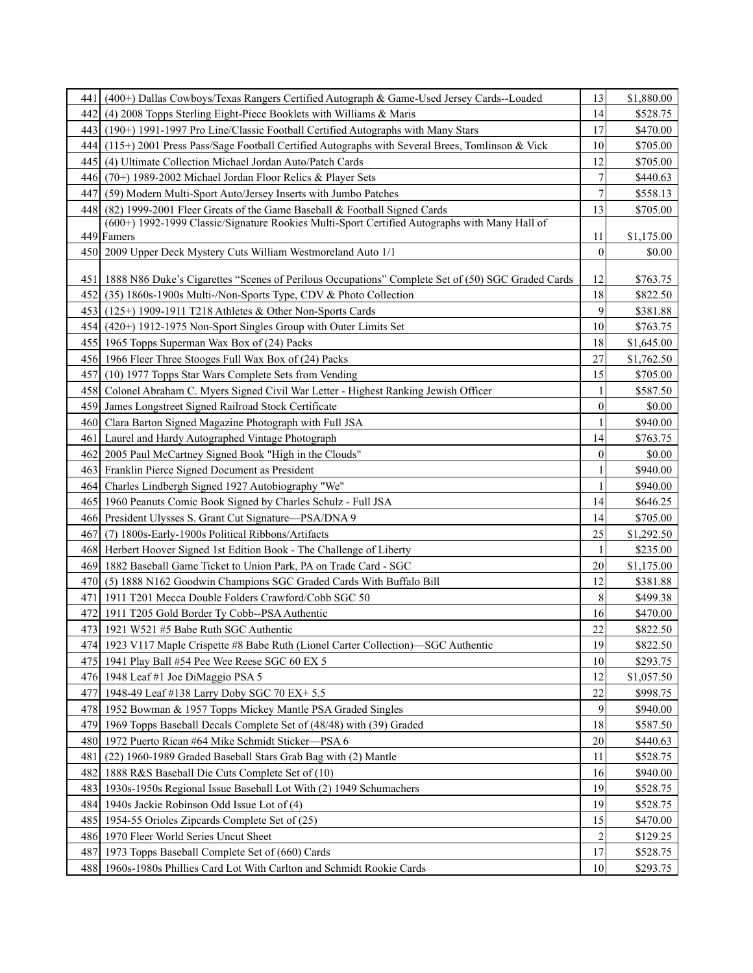| 441   | $(400+)$ Dallas Cowboys/Texas Rangers Certified Autograph & Game-Used Jersey Cards--Loaded              | 13               | \$1,880.00 |
|-------|---------------------------------------------------------------------------------------------------------|------------------|------------|
| 442 I | (4) 2008 Topps Sterling Eight-Piece Booklets with Williams & Maris                                      | 14               | \$528.75   |
|       | 443 (190+) 1991-1997 Pro Line/Classic Football Certified Autographs with Many Stars                     | 17               | \$470.00   |
|       | 444 (115+) 2001 Press Pass/Sage Football Certified Autographs with Several Brees, Tomlinson & Vick      | 10               | \$705.00   |
| 4451  | (4) Ultimate Collection Michael Jordan Auto/Patch Cards                                                 | 12               | \$705.00   |
| 446   | (70+) 1989-2002 Michael Jordan Floor Relics & Player Sets                                               | $\overline{7}$   | \$440.63   |
| 447   | (59) Modern Multi-Sport Auto/Jersey Inserts with Jumbo Patches                                          | 7                | \$558.13   |
| 448 l | (82) 1999-2001 Fleer Greats of the Game Baseball & Football Signed Cards                                | 13               | \$705.00   |
|       | (600+) 1992-1999 Classic/Signature Rookies Multi-Sport Certified Autographs with Many Hall of           |                  |            |
|       | 449 Famers                                                                                              | 11               | \$1,175.00 |
|       | 450   2009 Upper Deck Mystery Cuts William Westmoreland Auto 1/1                                        | $\overline{0}$   | \$0.00     |
|       | 451   1888 N86 Duke's Cigarettes "Scenes of Perilous Occupations" Complete Set of (50) SGC Graded Cards | 12               | \$763.75   |
| 4521  | (35) 1860s-1900s Multi-/Non-Sports Type, CDV & Photo Collection                                         | 18               | \$822.50   |
|       | 453 (125+) 1909-1911 T218 Athletes & Other Non-Sports Cards                                             | 9                | \$381.88   |
| 4541  | (420+) 1912-1975 Non-Sport Singles Group with Outer Limits Set                                          | 10               | \$763.75   |
|       | 455 1965 Topps Superman Wax Box of (24) Packs                                                           | 18               | \$1,645.00 |
|       | 456 1966 Fleer Three Stooges Full Wax Box of (24) Packs                                                 | 27               | \$1,762.50 |
| 4571  | (10) 1977 Topps Star Wars Complete Sets from Vending                                                    | 15               | \$705.00   |
| 4581  | Colonel Abraham C. Myers Signed Civil War Letter - Highest Ranking Jewish Officer                       |                  | \$587.50   |
|       | 459 James Longstreet Signed Railroad Stock Certificate                                                  | $\boldsymbol{0}$ | \$0.00     |
| 460l  | Clara Barton Signed Magazine Photograph with Full JSA                                                   | 1                | \$940.00   |
| 461   | Laurel and Hardy Autographed Vintage Photograph                                                         | 14               | \$763.75   |
|       | 462 2005 Paul McCartney Signed Book "High in the Clouds"                                                | 0                | \$0.00     |
|       | 463 Franklin Pierce Signed Document as President                                                        | 1                | \$940.00   |
| 4641  | Charles Lindbergh Signed 1927 Autobiography "We"                                                        |                  | \$940.00   |
|       | 465   1960 Peanuts Comic Book Signed by Charles Schulz - Full JSA                                       | 14               | \$646.25   |
|       | 466 President Ulysses S. Grant Cut Signature—PSA/DNA 9                                                  | 14               | \$705.00   |
| 467   | (7) 1800s-Early-1900s Political Ribbons/Artifacts                                                       | 25               | \$1,292.50 |
|       | 468 Herbert Hoover Signed 1st Edition Book - The Challenge of Liberty                                   |                  | \$235.00   |
|       | 469 1882 Baseball Game Ticket to Union Park, PA on Trade Card - SGC                                     | 20               | \$1,175.00 |
| 4701  | (5) 1888 N162 Goodwin Champions SGC Graded Cards With Buffalo Bill                                      | 12               | \$381.88   |
| 471   | 1911 T201 Mecca Double Folders Crawford/Cobb SGC 50                                                     | 8                | \$499.38   |
| 472   | 1911 T205 Gold Border Ty Cobb--PSA Authentic                                                            | 16               | \$470.00   |
|       | 473 1921 W521 #5 Babe Ruth SGC Authentic                                                                | 22               | \$822.50   |
|       | 474 1923 V117 Maple Crispette #8 Babe Ruth (Lionel Carter Collection)—SGC Authentic                     | 19               | \$822.50   |
|       | 475 1941 Play Ball #54 Pee Wee Reese SGC 60 EX 5                                                        | 10               | \$293.75   |
|       | 476   1948 Leaf #1 Joe DiMaggio PSA 5                                                                   | 12               | \$1,057.50 |
|       | 477 1948-49 Leaf #138 Larry Doby SGC 70 EX+ 5.5                                                         | 22               | \$998.75   |
|       | 478 1952 Bowman & 1957 Topps Mickey Mantle PSA Graded Singles                                           | 9                | \$940.00   |
|       | 479 1969 Topps Baseball Decals Complete Set of (48/48) with (39) Graded                                 | 18               | \$587.50   |
|       | 480 1972 Puerto Rican #64 Mike Schmidt Sticker—PSA 6                                                    | 20               | \$440.63   |
| 481   | (22) 1960-1989 Graded Baseball Stars Grab Bag with (2) Mantle                                           | 11               | \$528.75   |
|       | 482 1888 R&S Baseball Die Cuts Complete Set of (10)                                                     | 16               | \$940.00   |
|       | 483 1930s-1950s Regional Issue Baseball Lot With (2) 1949 Schumachers                                   | 19               | \$528.75   |
|       | 484 1940s Jackie Robinson Odd Issue Lot of (4)                                                          | 19               | \$528.75   |
|       | 485 1954-55 Orioles Zipcards Complete Set of (25)                                                       | 15               | \$470.00   |
|       | 486 1970 Fleer World Series Uncut Sheet                                                                 | $\overline{c}$   | \$129.25   |
|       | 487 1973 Topps Baseball Complete Set of (660) Cards                                                     | 17               | \$528.75   |
|       | 488 1960s-1980s Phillies Card Lot With Carlton and Schmidt Rookie Cards                                 | 10               | \$293.75   |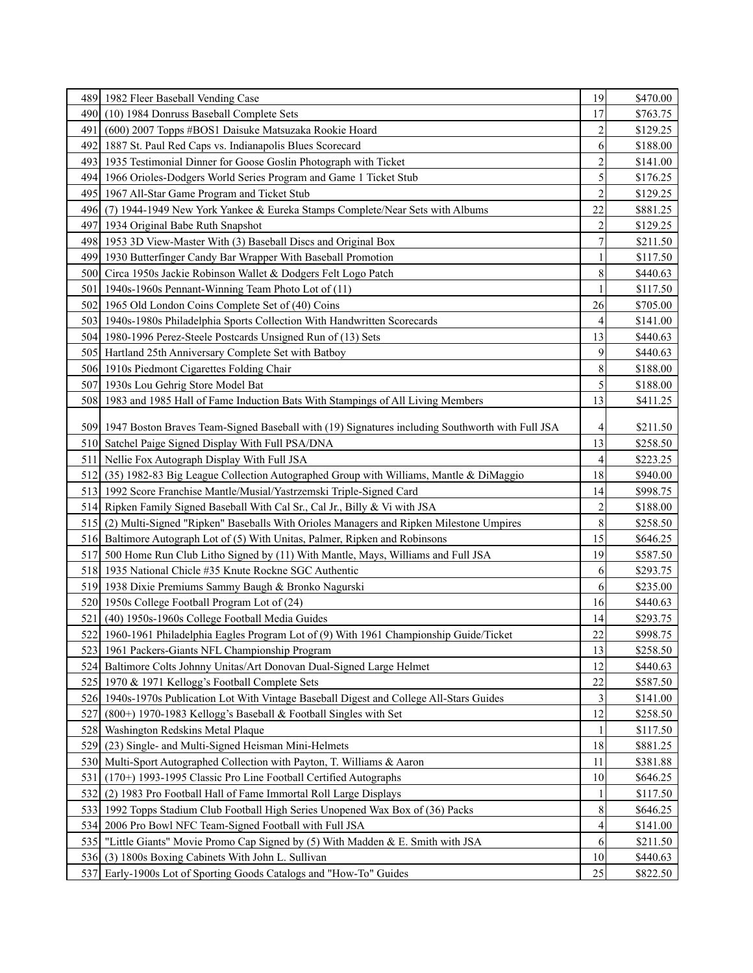|                  | 489 1982 Fleer Baseball Vending Case                                                                | 19             | \$470.00 |
|------------------|-----------------------------------------------------------------------------------------------------|----------------|----------|
| 490I             | (10) 1984 Donruss Baseball Complete Sets                                                            | 17             | \$763.75 |
| 491              | (600) 2007 Topps #BOS1 Daisuke Matsuzaka Rookie Hoard                                               | $\overline{c}$ | \$129.25 |
|                  | 492 1887 St. Paul Red Caps vs. Indianapolis Blues Scorecard                                         | 6              | \$188.00 |
|                  | 493 1935 Testimonial Dinner for Goose Goslin Photograph with Ticket                                 | $\overline{c}$ | \$141.00 |
|                  | 494   1966 Orioles-Dodgers World Series Program and Game 1 Ticket Stub                              | 5              | \$176.25 |
|                  | 495   1967 All-Star Game Program and Ticket Stub                                                    | $\overline{c}$ | \$129.25 |
| 4961             | (7) 1944-1949 New York Yankee & Eureka Stamps Complete/Near Sets with Albums                        | 22             | \$881.25 |
|                  | 497 1934 Original Babe Ruth Snapshot                                                                | $\overline{c}$ | \$129.25 |
|                  | 498 1953 3D View-Master With (3) Baseball Discs and Original Box                                    | 7              | \$211.50 |
|                  | 499 1930 Butterfinger Candy Bar Wrapper With Baseball Promotion                                     | 1              | \$117.50 |
|                  | 500 Circa 1950s Jackie Robinson Wallet & Dodgers Felt Logo Patch                                    | 8              | \$440.63 |
| 501              | 1940s-1960s Pennant-Winning Team Photo Lot of (11)                                                  |                | \$117.50 |
|                  | 502 1965 Old London Coins Complete Set of (40) Coins                                                | 26             | \$705.00 |
|                  | 503 1940s-1980s Philadelphia Sports Collection With Handwritten Scorecards                          | 4              | \$141.00 |
|                  | 504 1980-1996 Perez-Steele Postcards Unsigned Run of (13) Sets                                      | 13             | \$440.63 |
|                  | 505 Hartland 25th Anniversary Complete Set with Batboy                                              | 9              | \$440.63 |
|                  | 506 1910s Piedmont Cigarettes Folding Chair                                                         | 8              | \$188.00 |
|                  | 507 1930s Lou Gehrig Store Model Bat                                                                | 5              | \$188.00 |
|                  | 508   1983 and 1985 Hall of Fame Induction Bats With Stampings of All Living Members                | 13             | \$411.25 |
|                  |                                                                                                     |                |          |
|                  | 509 1947 Boston Braves Team-Signed Baseball with (19) Signatures including Southworth with Full JSA | 4              | \$211.50 |
|                  | 510 Satchel Paige Signed Display With Full PSA/DNA                                                  | 13             | \$258.50 |
| 511              | Nellie Fox Autograph Display With Full JSA                                                          | 4              | \$223.25 |
| 512              | (35) 1982-83 Big League Collection Autographed Group with Williams, Mantle & DiMaggio               | 18             | \$940.00 |
|                  | 513 1992 Score Franchise Mantle/Musial/Yastrzemski Triple-Signed Card                               | 14             | \$998.75 |
|                  | 514 Ripken Family Signed Baseball With Cal Sr., Cal Jr., Billy & Vi with JSA                        | $\overline{c}$ | \$188.00 |
|                  | 515 (2) Multi-Signed "Ripken" Baseballs With Orioles Managers and Ripken Milestone Umpires          | 8              | \$258.50 |
|                  | 516 Baltimore Autograph Lot of (5) With Unitas, Palmer, Ripken and Robinsons                        | 15             | \$646.25 |
| 517 <sub>1</sub> | 500 Home Run Club Litho Signed by (11) With Mantle, Mays, Williams and Full JSA                     | 19             | \$587.50 |
|                  | 518 1935 National Chicle #35 Knute Rockne SGC Authentic                                             | 6              | \$293.75 |
|                  | 519 1938 Dixie Premiums Sammy Baugh & Bronko Nagurski                                               | 6              | \$235.00 |
|                  | 520 1950s College Football Program Lot of (24)                                                      | 16             | \$440.63 |
|                  | 521 (40) 1950s-1960s College Football Media Guides                                                  | 14             | \$293.75 |
|                  | 522 1960-1961 Philadelphia Eagles Program Lot of (9) With 1961 Championship Guide/Ticket            | 22             | \$998.75 |
| 523 I            | 1961 Packers-Giants NFL Championship Program                                                        | 13             | \$258.50 |
|                  | 524 Baltimore Colts Johnny Unitas/Art Donovan Dual-Signed Large Helmet                              | 12             | \$440.63 |
| 525 I            | 1970 & 1971 Kellogg's Football Complete Sets                                                        | 22             | \$587.50 |
|                  | 526 1940s-1970s Publication Lot With Vintage Baseball Digest and College All-Stars Guides           | 3              | \$141.00 |
| 527              | (800+) 1970-1983 Kellogg's Baseball & Football Singles with Set                                     | 12             | \$258.50 |
| 528              | Washington Redskins Metal Plaque                                                                    |                | \$117.50 |
| 529              | (23) Single- and Multi-Signed Heisman Mini-Helmets                                                  | 18             | \$881.25 |
|                  | 530 Multi-Sport Autographed Collection with Payton, T. Williams & Aaron                             | 11             | \$381.88 |
| 531              | (170+) 1993-1995 Classic Pro Line Football Certified Autographs                                     | 10             | \$646.25 |
| 532              | (2) 1983 Pro Football Hall of Fame Immortal Roll Large Displays                                     | 1              | \$117.50 |
|                  | 533 1992 Topps Stadium Club Football High Series Unopened Wax Box of (36) Packs                     | $\,8\,$        | \$646.25 |
| 534              | 2006 Pro Bowl NFC Team-Signed Football with Full JSA                                                | 4              | \$141.00 |
|                  | 535   "Little Giants" Movie Promo Cap Signed by (5) With Madden & E. Smith with JSA                 | 6              | \$211.50 |
| 536              | (3) 1800s Boxing Cabinets With John L. Sullivan                                                     | 10             | \$440.63 |
|                  | 537 Early-1900s Lot of Sporting Goods Catalogs and "How-To" Guides                                  | 25             | \$822.50 |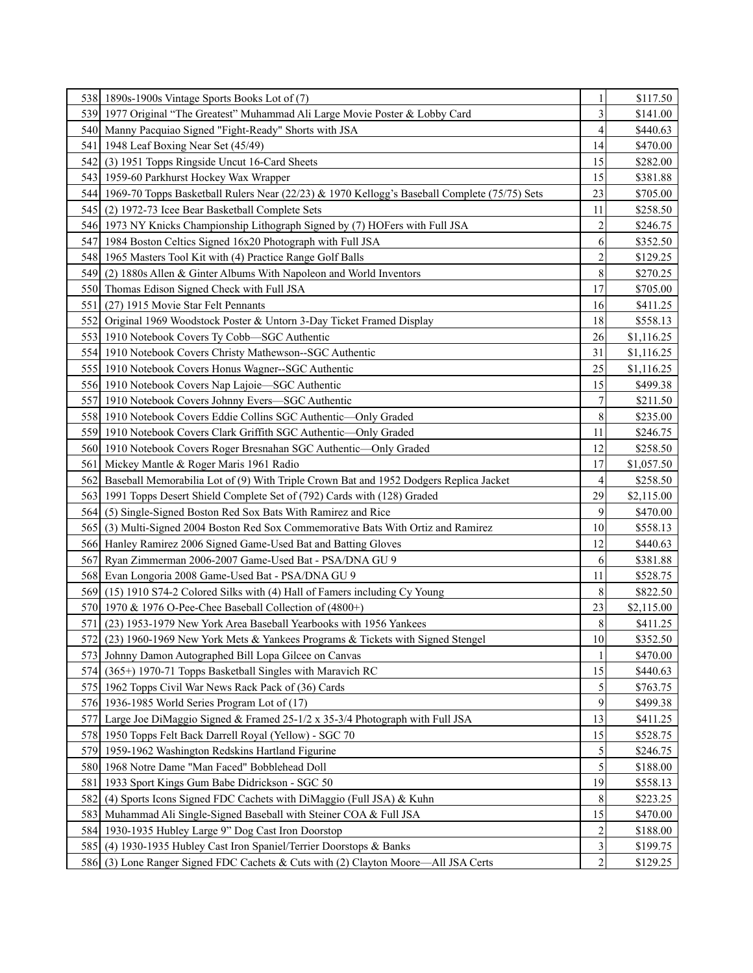|      | 538 1890s-1900s Vintage Sports Books Lot of (7)                                                  | 1                       | \$117.50   |
|------|--------------------------------------------------------------------------------------------------|-------------------------|------------|
|      | 539 1977 Original "The Greatest" Muhammad Ali Large Movie Poster & Lobby Card                    | 3                       | \$141.00   |
|      | 540 Manny Pacquiao Signed "Fight-Ready" Shorts with JSA                                          | 4                       | \$440.63   |
|      | 541   1948 Leaf Boxing Near Set (45/49)                                                          | 14                      | \$470.00   |
|      | 542 (3) 1951 Topps Ringside Uncut 16-Card Sheets                                                 | 15                      | \$282.00   |
|      | 543 1959-60 Parkhurst Hockey Wax Wrapper                                                         | 15                      | \$381.88   |
|      | 544 1969-70 Topps Basketball Rulers Near (22/23) & 1970 Kellogg's Baseball Complete (75/75) Sets | 23                      | \$705.00   |
|      | 545 (2) 1972-73 Icee Bear Basketball Complete Sets                                               | 11                      | \$258.50   |
|      | 546 1973 NY Knicks Championship Lithograph Signed by (7) HOFers with Full JSA                    | $\overline{\mathbf{c}}$ | \$246.75   |
|      | 547 1984 Boston Celtics Signed 16x20 Photograph with Full JSA                                    | 6                       | \$352.50   |
|      | 548 1965 Masters Tool Kit with (4) Practice Range Golf Balls                                     | $\overline{c}$          | \$129.25   |
|      | 549 (2) 1880s Allen & Ginter Albums With Napoleon and World Inventors                            | 8                       | \$270.25   |
|      | 550 Thomas Edison Signed Check with Full JSA                                                     | 17                      | \$705.00   |
| 5511 | (27) 1915 Movie Star Felt Pennants                                                               | 16                      | \$411.25   |
|      | 552 Original 1969 Woodstock Poster & Untorn 3-Day Ticket Framed Display                          | 18                      | \$558.13   |
|      | 553 1910 Notebook Covers Ty Cobb-SGC Authentic                                                   | 26                      | \$1,116.25 |
|      | 554 1910 Notebook Covers Christy Mathewson-SGC Authentic                                         | 31                      | \$1,116.25 |
|      | 555 [1910 Notebook Covers Honus Wagner-SGC Authentic                                             | 25                      | \$1,116.25 |
|      | 556 1910 Notebook Covers Nap Lajoie-SGC Authentic                                                | 15                      | \$499.38   |
|      | 557 1910 Notebook Covers Johnny Evers-SGC Authentic                                              | 7                       | \$211.50   |
|      | 558 1910 Notebook Covers Eddie Collins SGC Authentic-Only Graded                                 | 8                       | \$235.00   |
|      | 559 1910 Notebook Covers Clark Griffith SGC Authentic-Only Graded                                | 11                      | \$246.75   |
|      | 560 1910 Notebook Covers Roger Bresnahan SGC Authentic-Only Graded                               | 12                      | \$258.50   |
|      | 561 Mickey Mantle & Roger Maris 1961 Radio                                                       | 17                      | \$1,057.50 |
|      | 562 Baseball Memorabilia Lot of (9) With Triple Crown Bat and 1952 Dodgers Replica Jacket        | 4                       | \$258.50   |
|      | 563 1991 Topps Desert Shield Complete Set of (792) Cards with (128) Graded                       | 29                      | \$2,115.00 |
|      | 564 (5) Single-Signed Boston Red Sox Bats With Ramirez and Rice                                  | 9                       | \$470.00   |
|      | 565 (3) Multi-Signed 2004 Boston Red Sox Commemorative Bats With Ortiz and Ramirez               | 10                      | \$558.13   |
|      | 566 Hanley Ramirez 2006 Signed Game-Used Bat and Batting Gloves                                  | 12                      | \$440.63   |
|      | 567 Ryan Zimmerman 2006-2007 Game-Used Bat - PSA/DNA GU 9                                        | 6                       | \$381.88   |
|      | 568 Evan Longoria 2008 Game-Used Bat - PSA/DNA GU 9                                              | 11                      | \$528.75   |
|      | 569 (15) 1910 S74-2 Colored Silks with (4) Hall of Famers including Cy Young                     | 8                       | \$822.50   |
|      | 570 1970 & 1976 O-Pee-Chee Baseball Collection of (4800+)                                        | 23                      | \$2,115.00 |
| 5711 | (23) 1953-1979 New York Area Baseball Yearbooks with 1956 Yankees                                | 8                       | \$411.25   |
|      | 572 (23) 1960-1969 New York Mets & Yankees Programs & Tickets with Signed Stengel                | 10 <sup>1</sup>         | \$352.50   |
|      | 573 Johnny Damon Autographed Bill Lopa Gilcee on Canvas                                          |                         | \$470.00   |
|      | 574 (365+) 1970-71 Topps Basketball Singles with Maravich RC                                     | 15                      | \$440.63   |
|      | 575 1962 Topps Civil War News Rack Pack of (36) Cards                                            | 5                       | \$763.75   |
|      | 576 1936-1985 World Series Program Lot of (17)                                                   | 9                       | \$499.38   |
|      | 577 Large Joe DiMaggio Signed & Framed 25-1/2 x 35-3/4 Photograph with Full JSA                  | 13                      | \$411.25   |
|      | 578 1950 Topps Felt Back Darrell Royal (Yellow) - SGC 70                                         | 15                      | \$528.75   |
|      | 579 1959-1962 Washington Redskins Hartland Figurine                                              | 5                       | \$246.75   |
|      | 580 1968 Notre Dame "Man Faced" Bobblehead Doll                                                  | 5                       | \$188.00   |
| 581  | 1933 Sport Kings Gum Babe Didrickson - SGC 50                                                    | 19                      | \$558.13   |
| 5821 | (4) Sports Icons Signed FDC Cachets with DiMaggio (Full JSA) & Kuhn                              | 8                       | \$223.25   |
|      | 583   Muhammad Ali Single-Signed Baseball with Steiner COA & Full JSA                            | 15                      | \$470.00   |
|      | 584 1930-1935 Hubley Large 9" Dog Cast Iron Doorstop                                             | $\overline{c}$          | \$188.00   |
|      | 585 (4) 1930-1935 Hubley Cast Iron Spaniel/Terrier Doorstops & Banks                             | $\overline{\mathbf{3}}$ | \$199.75   |
|      | 586 (3) Lone Ranger Signed FDC Cachets & Cuts with (2) Clayton Moore—All JSA Certs               | $\overline{2}$          | \$129.25   |